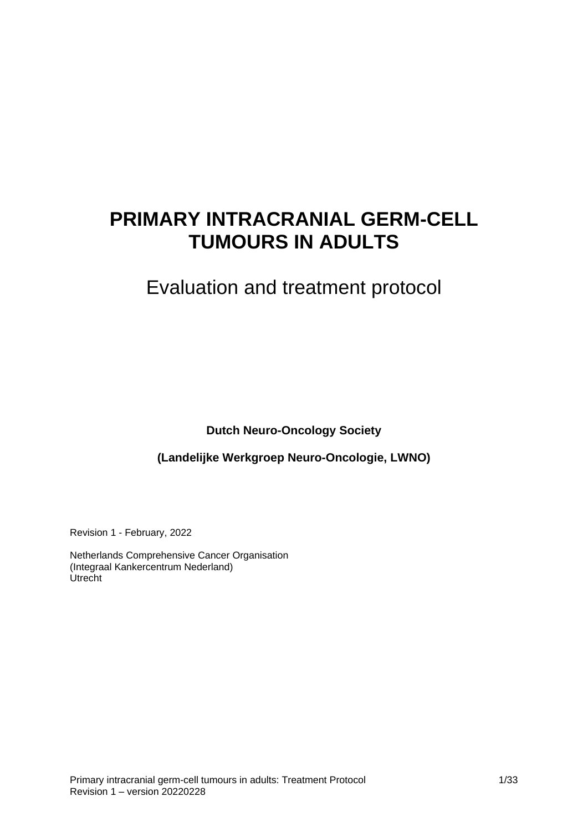# **PRIMARY INTRACRANIAL GERM-CELL TUMOURS IN ADULTS**

# Evaluation and treatment protocol

**Dutch Neuro-Oncology Society**

**(Landelijke Werkgroep Neuro-Oncologie, LWNO)**

Revision 1 - February, 2022

Netherlands Comprehensive Cancer Organisation (Integraal Kankercentrum Nederland) Utrecht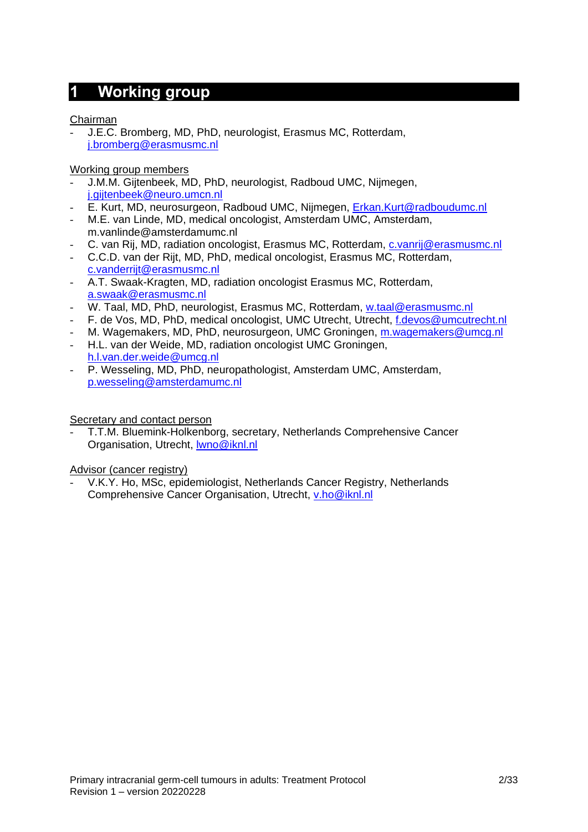## <span id="page-1-0"></span>**1 Working group**

Chairman

- J.E.C. Bromberg, MD, PhD, neurologist, Erasmus MC, Rotterdam, [j.bromberg@erasmusmc.nl](mailto:j.bromberg@erasmusmc.nl) 

Working group members

- J.M.M. Gijtenbeek, MD, PhD, neurologist, Radboud UMC, Nijmegen, [j.gijtenbeek@neuro.umcn.nl](mailto:j.gijtenbeek@neuro.umcn.nl)
- E. Kurt, MD, neurosurgeon, Radboud UMC, Nijmegen, [Erkan.Kurt@radboudumc.nl](mailto:Erkan.Kurt@radboudumc.nl)
- M.E. van Linde, MD, medical oncologist, Amsterdam UMC, Amsterdam, m.vanlinde@amsterdamumc.nl
- C. van Rij, MD, radiation oncologist, Erasmus MC, Rotterdam, [c.vanrij@erasmusmc.nl](mailto:c.vanrij@erasmusmc.nl)
- C.C.D. van der Rijt, MD, PhD, medical oncologist, Erasmus MC, Rotterdam, [c.vanderrijt@erasmusmc.nl](mailto:c.vanderrijt@erasmusmc.nl)
- A.T. Swaak-Kragten, MD, radiation oncologist Erasmus MC, Rotterdam, [a.swaak@erasmusmc.nl](mailto:a.swaak@erasmusmc.nl)
- W. Taal, MD, PhD, neurologist, Erasmus MC, Rotterdam, [w.taal@erasmusmc.nl](mailto:w.taal@erasmusmc.nl)
- F. de Vos, MD, PhD, medical oncologist, UMC Utrecht, Utrecht, [f.devos@umcutrecht.nl](mailto:f.devos@umcutrecht.nl)
- M. Wagemakers, MD, PhD, neurosurgeon, UMC Groningen, [m.wagemakers@umcg.nl](mailto:m.wagemakers@umcg.nl)
- H.L. van der Weide, MD, radiation oncologist UMC Groningen, [h.l.van.der.weide@umcg.nl](mailto:h.l.van.der.weide@umcg.nl)
- P. Wesseling, MD, PhD, neuropathologist, Amsterdam UMC, Amsterdam, [p.wesseling@amsterdamumc.nl](mailto:p.wesseling@amsterdamumc.nl)

Secretary and contact person

- T.T.M. Bluemink-Holkenborg, secretary, Netherlands Comprehensive Cancer Organisation, Utrecht, [lwno@iknl.nl](mailto:lwno@iknl.nl)

Advisor (cancer registry)

- V.K.Y. Ho, MSc, epidemiologist, Netherlands Cancer Registry, Netherlands Comprehensive Cancer Organisation, Utrecht, [v.ho@iknl.nl](mailto:v.ho@iknl.nl)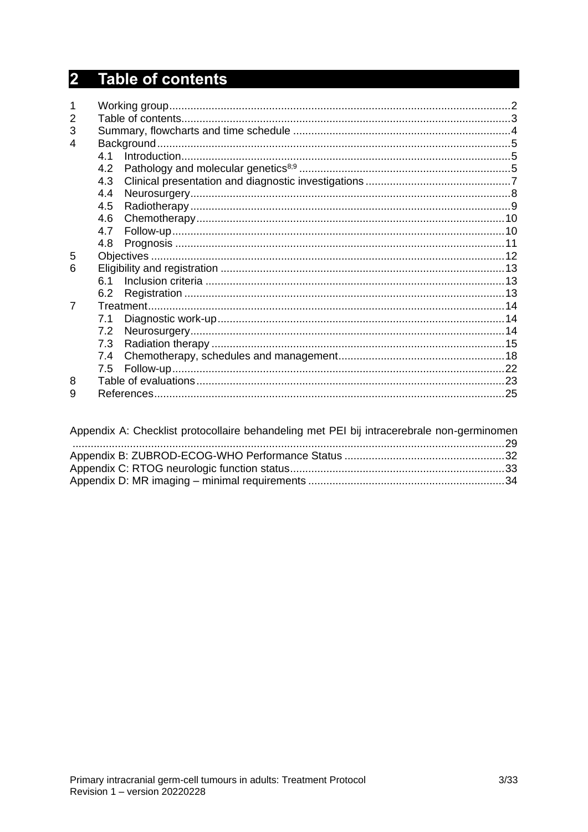# <span id="page-2-0"></span>2 Table of contents

| $\overline{2}$ |     |  |
|----------------|-----|--|
| 3              |     |  |
| 4              |     |  |
|                | 4.1 |  |
|                | 4.2 |  |
|                | 4.3 |  |
|                | 4.4 |  |
|                | 4.5 |  |
|                | 4.6 |  |
|                | 4.7 |  |
|                | 4.8 |  |
| 5              |     |  |
| 6              |     |  |
|                | 61  |  |
|                | 6.2 |  |
| 7              |     |  |
|                | 7.1 |  |
|                | 7.2 |  |
|                | 7.3 |  |
|                | 7.4 |  |
|                | 7.5 |  |
| 8              |     |  |
| 9              |     |  |

| Appendix A: Checklist protocollaire behandeling met PEI bij intracerebrale non-germinomen |  |
|-------------------------------------------------------------------------------------------|--|
|                                                                                           |  |
|                                                                                           |  |
|                                                                                           |  |
|                                                                                           |  |
|                                                                                           |  |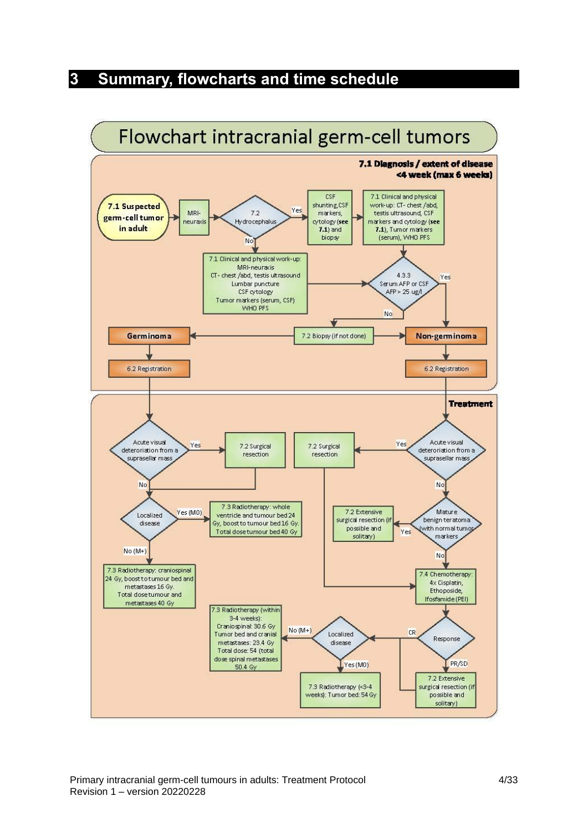## <span id="page-3-0"></span>**3 Summary, flowcharts and time schedule**

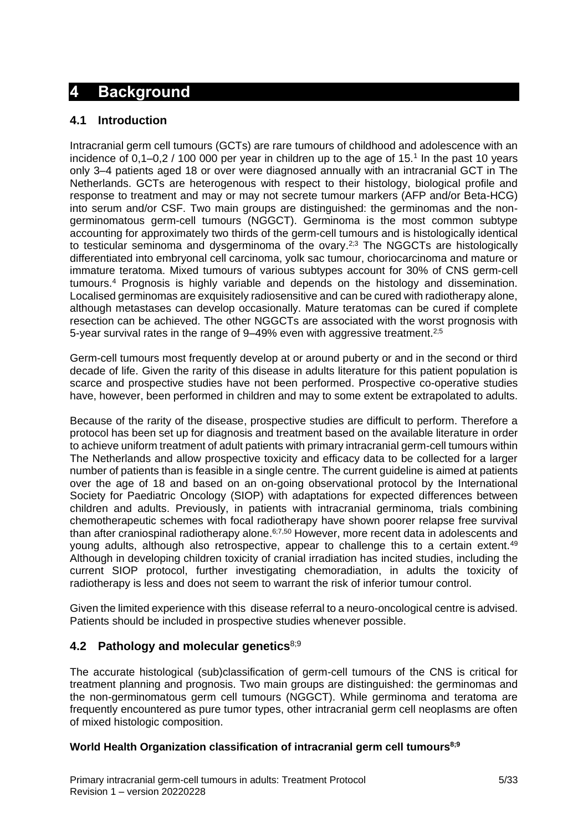## <span id="page-4-0"></span>**4 Background**

## <span id="page-4-1"></span>**4.1 Introduction**

Intracranial germ cell tumours (GCTs) are rare tumours of childhood and adolescence with an incidence of  $0,1-0,2/100$  000 per year in children up to the age of  $15.<sup>1</sup>$  In the past 10 years only 3–4 patients aged 18 or over were diagnosed annually with an intracranial GCT in The Netherlands. GCTs are heterogenous with respect to their histology, biological profile and response to treatment and may or may not secrete tumour markers (AFP and/or Beta-HCG) into serum and/or CSF. Two main groups are distinguished: the germinomas and the nongerminomatous germ-cell tumours (NGGCT). Germinoma is the most common subtype accounting for approximately two thirds of the germ-cell tumours and is histologically identical to testicular seminoma and dysgerminoma of the ovary.<sup>2;3</sup> The NGGCTs are histologically differentiated into embryonal cell carcinoma, yolk sac tumour, choriocarcinoma and mature or immature teratoma. Mixed tumours of various subtypes account for 30% of CNS germ-cell tumours.<sup>4</sup> Prognosis is highly variable and depends on the histology and dissemination. Localised germinomas are exquisitely radiosensitive and can be cured with radiotherapy alone, although metastases can develop occasionally. Mature teratomas can be cured if complete resection can be achieved. The other NGGCTs are associated with the worst prognosis with 5-year survival rates in the range of 9–49% even with aggressive treatment.2;5

Germ-cell tumours most frequently develop at or around puberty or and in the second or third decade of life. Given the rarity of this disease in adults literature for this patient population is scarce and prospective studies have not been performed. Prospective co-operative studies have, however, been performed in children and may to some extent be extrapolated to adults.

Because of the rarity of the disease, prospective studies are difficult to perform. Therefore a protocol has been set up for diagnosis and treatment based on the available literature in order to achieve uniform treatment of adult patients with primary intracranial germ-cell tumours within The Netherlands and allow prospective toxicity and efficacy data to be collected for a larger number of patients than is feasible in a single centre. The current guideline is aimed at patients over the age of 18 and based on an on-going observational protocol by the International Society for Paediatric Oncology (SIOP) with adaptations for expected differences between children and adults. Previously, in patients with intracranial germinoma, trials combining chemotherapeutic schemes with focal radiotherapy have shown poorer relapse free survival than after craniospinal radiotherapy alone.<sup>6;7,50</sup> However, more recent data in adolescents and young adults, although also retrospective, appear to challenge this to a certain extent.<sup>49</sup> Although in developing children toxicity of cranial irradiation has incited studies, including the current SIOP protocol, further investigating chemoradiation, in adults the toxicity of radiotherapy is less and does not seem to warrant the risk of inferior tumour control.

Given the limited experience with this disease referral to a neuro-oncological centre is advised. Patients should be included in prospective studies whenever possible.

## <span id="page-4-2"></span>**4.2 Pathology and molecular genetics**8;9

The accurate histological (sub)classification of germ-cell tumours of the CNS is critical for treatment planning and prognosis. Two main groups are distinguished: the germinomas and the non-germinomatous germ cell tumours (NGGCT). While germinoma and teratoma are frequently encountered as pure tumor types, other intracranial germ cell neoplasms are often of mixed histologic composition.

## **World Health Organization classification of intracranial germ cell tumours8;9**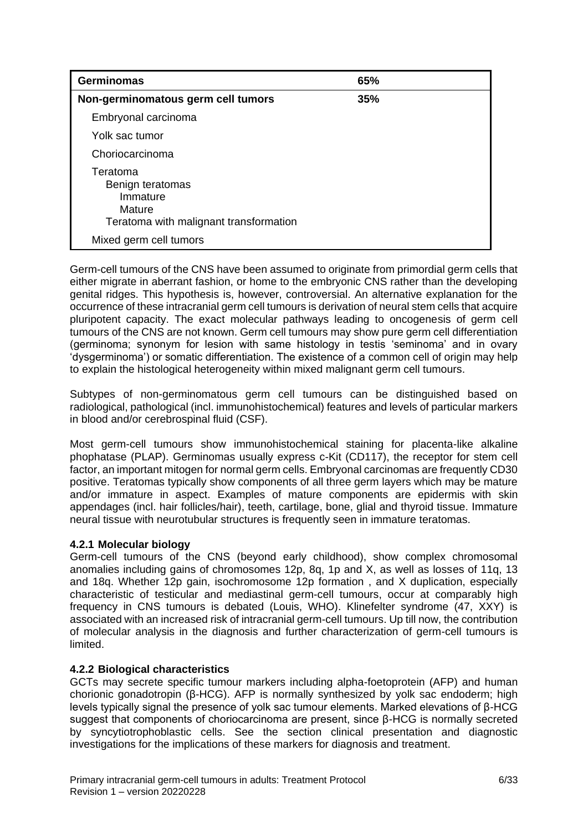| <b>Germinomas</b>                                                                            | 65% |
|----------------------------------------------------------------------------------------------|-----|
| Non-germinomatous germ cell tumors                                                           | 35% |
| Embryonal carcinoma                                                                          |     |
| Yolk sac tumor                                                                               |     |
| Choriocarcinoma                                                                              |     |
| Teratoma<br>Benign teratomas<br>Immature<br>Mature<br>Teratoma with malignant transformation |     |
| Mixed germ cell tumors                                                                       |     |

Germ-cell tumours of the CNS have been assumed to originate from primordial germ cells that either migrate in aberrant fashion, or home to the embryonic CNS rather than the developing genital ridges. This hypothesis is, however, controversial. An alternative explanation for the occurrence of these intracranial germ cell tumours is derivation of neural stem cells that acquire pluripotent capacity. The exact molecular pathways leading to oncogenesis of germ cell tumours of the CNS are not known. Germ cell tumours may show pure germ cell differentiation (germinoma; synonym for lesion with same histology in testis 'seminoma' and in ovary 'dysgerminoma') or somatic differentiation. The existence of a common cell of origin may help to explain the histological heterogeneity within mixed malignant germ cell tumours.

Subtypes of non-germinomatous germ cell tumours can be distinguished based on radiological, pathological (incl. immunohistochemical) features and levels of particular markers in blood and/or cerebrospinal fluid (CSF).

Most germ-cell tumours show immunohistochemical staining for placenta-like alkaline phophatase (PLAP). Germinomas usually express c-Kit (CD117), the receptor for stem cell factor, an important mitogen for normal germ cells. Embryonal carcinomas are frequently CD30 positive. Teratomas typically show components of all three germ layers which may be mature and/or immature in aspect. Examples of mature components are epidermis with skin appendages (incl. hair follicles/hair), teeth, cartilage, bone, glial and thyroid tissue. Immature neural tissue with neurotubular structures is frequently seen in immature teratomas.

## **4.2.1 Molecular biology**

Germ-cell tumours of the CNS (beyond early childhood), show complex chromosomal anomalies including gains of chromosomes 12p, 8q, 1p and X, as well as losses of 11q, 13 and 18q. Whether 12p gain, isochromosome 12p formation, and X duplication, especially characteristic of testicular and mediastinal germ-cell tumours, occur at comparably high frequency in CNS tumours is debated (Louis, WHO). Klinefelter syndrome (47, XXY) is associated with an increased risk of intracranial germ-cell tumours. Up till now, the contribution of molecular analysis in the diagnosis and further characterization of germ-cell tumours is limited.

## **4.2.2 Biological characteristics**

GCTs may secrete specific tumour markers including alpha-foetoprotein (AFP) and human chorionic gonadotropin (β-HCG). AFP is normally synthesized by yolk sac endoderm; high levels typically signal the presence of yolk sac tumour elements. Marked elevations of β-HCG suggest that components of choriocarcinoma are present, since β-HCG is normally secreted by syncytiotrophoblastic cells. See the section clinical presentation and diagnostic investigations for the implications of these markers for diagnosis and treatment.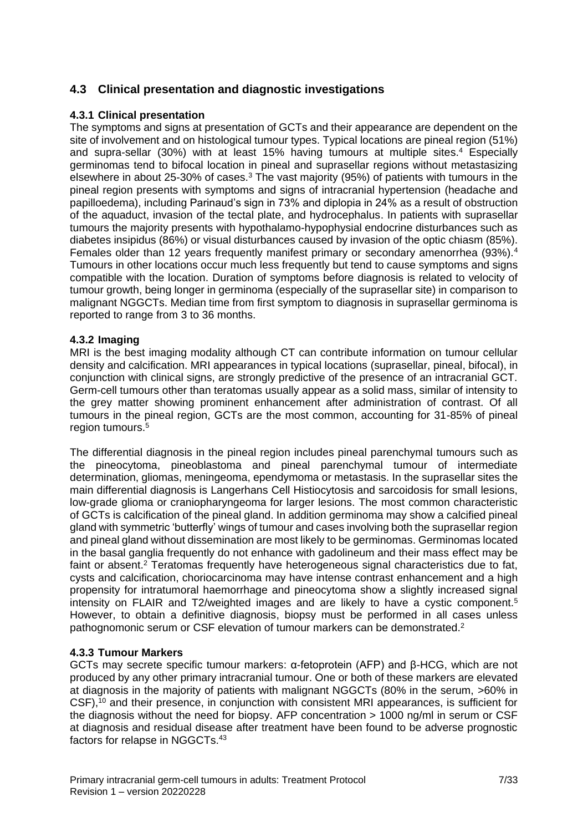## <span id="page-6-0"></span>**4.3 Clinical presentation and diagnostic investigations**

## **4.3.1 Clinical presentation**

The symptoms and signs at presentation of GCTs and their appearance are dependent on the site of involvement and on histological tumour types. Typical locations are pineal region (51%) and supra-sellar (30%) with at least 15% having tumours at multiple sites.<sup>4</sup> Especially germinomas tend to bifocal location in pineal and suprasellar regions without metastasizing elsewhere in about 25-30% of cases.<sup>3</sup> The vast majority (95%) of patients with tumours in the pineal region presents with symptoms and signs of intracranial hypertension (headache and papilloedema), including Parinaud's sign in 73% and diplopia in 24% as a result of obstruction of the aquaduct, invasion of the tectal plate, and hydrocephalus. In patients with suprasellar tumours the majority presents with hypothalamo-hypophysial endocrine disturbances such as diabetes insipidus (86%) or visual disturbances caused by invasion of the optic chiasm (85%). Females older than 12 years frequently manifest primary or secondary amenorrhea (93%).<sup>4</sup> Tumours in other locations occur much less frequently but tend to cause symptoms and signs compatible with the location. Duration of symptoms before diagnosis is related to velocity of tumour growth, being longer in germinoma (especially of the suprasellar site) in comparison to malignant NGGCTs. Median time from first symptom to diagnosis in suprasellar germinoma is reported to range from 3 to 36 months.

## **4.3.2 Imaging**

MRI is the best imaging modality although CT can contribute information on tumour cellular density and calcification. MRI appearances in typical locations (suprasellar, pineal, bifocal), in conjunction with clinical signs, are strongly predictive of the presence of an intracranial GCT. Germ-cell tumours other than teratomas usually appear as a solid mass, similar of intensity to the grey matter showing prominent enhancement after administration of contrast. Of all tumours in the pineal region, GCTs are the most common, accounting for 31-85% of pineal region tumours.<sup>5</sup>

The differential diagnosis in the pineal region includes pineal parenchymal tumours such as the pineocytoma, pineoblastoma and pineal parenchymal tumour of intermediate determination, gliomas, meningeoma, ependymoma or metastasis. In the suprasellar sites the main differential diagnosis is Langerhans Cell Histiocytosis and sarcoidosis for small lesions, low-grade glioma or craniopharyngeoma for larger lesions. The most common characteristic of GCTs is calcification of the pineal gland. In addition germinoma may show a calcified pineal gland with symmetric 'butterfly' wings of tumour and cases involving both the suprasellar region and pineal gland without dissemination are most likely to be germinomas. Germinomas located in the basal ganglia frequently do not enhance with gadolineum and their mass effect may be faint or absent.<sup>2</sup> Teratomas frequently have heterogeneous signal characteristics due to fat, cysts and calcification, choriocarcinoma may have intense contrast enhancement and a high propensity for intratumoral haemorrhage and pineocytoma show a slightly increased signal intensity on FLAIR and T2/weighted images and are likely to have a cystic component.<sup>5</sup> However, to obtain a definitive diagnosis, biopsy must be performed in all cases unless pathognomonic serum or CSF elevation of tumour markers can be demonstrated.<sup>2</sup>

## **4.3.3 Tumour Markers**

GCTs may secrete specific tumour markers: α-fetoprotein (AFP) and β-HCG, which are not produced by any other primary intracranial tumour. One or both of these markers are elevated at diagnosis in the majority of patients with malignant NGGCTs (80% in the serum, >60% in CSF),<sup>10</sup> and their presence, in conjunction with consistent MRI appearances, is sufficient for the diagnosis without the need for biopsy. AFP concentration  $> 1000$  ng/ml in serum or CSF at diagnosis and residual disease after treatment have been found to be adverse prognostic factors for relapse in NGGCTs.43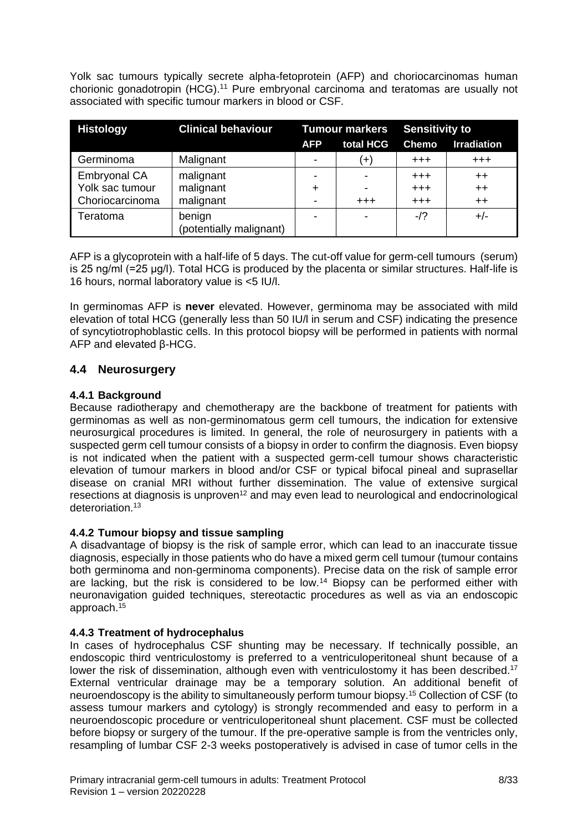Yolk sac tumours typically secrete alpha-fetoprotein (AFP) and choriocarcinomas human chorionic gonadotropin (HCG).<sup>11</sup> Pure embryonal carcinoma and teratomas are usually not associated with specific tumour markers in blood or CSF.

| <b>Histology</b>    | <b>Clinical behaviour</b>         | <b>Tumour markers</b> |           | <b>Sensitivity to</b> |                    |
|---------------------|-----------------------------------|-----------------------|-----------|-----------------------|--------------------|
|                     |                                   | <b>AFP</b>            | total HCG | <b>Chemo</b>          | <b>Irradiation</b> |
| Germinoma           | Malignant                         |                       | $(+)$     | $+++$                 | $+ + +$            |
| <b>Embryonal CA</b> | malignant                         |                       |           | $+++$                 | $++$               |
| Yolk sac tumour     | malignant                         | $\div$                | -         | $+ + +$               | $++$               |
| Choriocarcinoma     | malignant                         |                       | $^{+++}$  | $+++$                 | $++$               |
| Teratoma            | benign<br>(potentially malignant) |                       |           | $-12$                 | $+/-$              |

AFP is a glycoprotein with a half-life of 5 days. The cut-off value for germ-cell tumours (serum) is 25 ng/ml (=25 μg/l). Total HCG is produced by the placenta or similar structures. Half-life is 16 hours, normal laboratory value is <5 IU/l.

In germinomas AFP is **never** elevated. However, germinoma may be associated with mild elevation of total HCG (generally less than 50 IU/l in serum and CSF) indicating the presence of syncytiotrophoblastic cells. In this protocol biopsy will be performed in patients with normal AFP and elevated β-HCG.

## <span id="page-7-0"></span>**4.4 Neurosurgery**

## **4.4.1 Background**

Because radiotherapy and chemotherapy are the backbone of treatment for patients with germinomas as well as non-germinomatous germ cell tumours, the indication for extensive neurosurgical procedures is limited. In general, the role of neurosurgery in patients with a suspected germ cell tumour consists of a biopsy in order to confirm the diagnosis. Even biopsy is not indicated when the patient with a suspected germ-cell tumour shows characteristic elevation of tumour markers in blood and/or CSF or typical bifocal pineal and suprasellar disease on cranial MRI without further dissemination. The value of extensive surgical resections at diagnosis is unproven<sup>12</sup> and may even lead to neurological and endocrinological deteroriation.<sup>13</sup>

## **4.4.2 Tumour biopsy and tissue sampling**

A disadvantage of biopsy is the risk of sample error, which can lead to an inaccurate tissue diagnosis, especially in those patients who do have a mixed germ cell tumour (tumour contains both germinoma and non-germinoma components). Precise data on the risk of sample error are lacking, but the risk is considered to be low.<sup>14</sup> Biopsy can be performed either with neuronavigation guided techniques, stereotactic procedures as well as via an endoscopic approach. 15

## **4.4.3 Treatment of hydrocephalus**

In cases of hydrocephalus CSF shunting may be necessary. If technically possible, an endoscopic third ventriculostomy is preferred to a ventriculoperitoneal shunt because of a lower the risk of dissemination, although even with ventriculostomy it has been described.<sup>17</sup> External ventricular drainage may be a temporary solution. An additional benefit of neuroendoscopy is the ability to simultaneously perform tumour biopsy.<sup>15</sup> Collection of CSF (to assess tumour markers and cytology) is strongly recommended and easy to perform in a neuroendoscopic procedure or ventriculoperitoneal shunt placement. CSF must be collected before biopsy or surgery of the tumour. If the pre-operative sample is from the ventricles only, resampling of lumbar CSF 2-3 weeks postoperatively is advised in case of tumor cells in the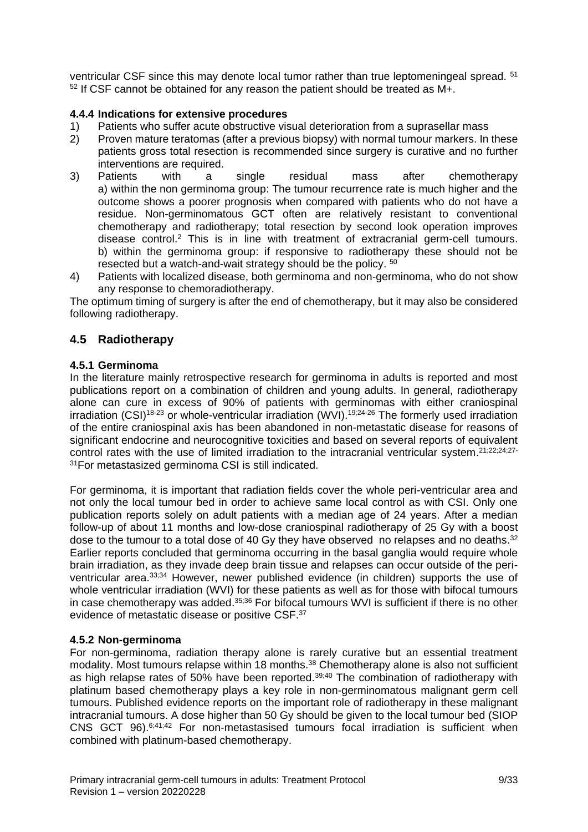ventricular CSF since this may denote local tumor rather than true leptomeningeal spread. <sup>51</sup> <sup>52</sup> If CSF cannot be obtained for any reason the patient should be treated as M+.

## **4.4.4 Indications for extensive procedures**

- 1) Patients who suffer acute obstructive visual deterioration from a suprasellar mass
- 2) Proven mature teratomas (after a previous biopsy) with normal tumour markers. In these patients gross total resection is recommended since surgery is curative and no further interventions are required.
- 3) Patients with a single residual mass after chemotherapy a) within the non germinoma group: The tumour recurrence rate is much higher and the outcome shows a poorer prognosis when compared with patients who do not have a residue. Non-germinomatous GCT often are relatively resistant to conventional chemotherapy and radiotherapy; total resection by second look operation improves disease control. <sup>2</sup> This is in line with treatment of extracranial germ-cell tumours. b) within the germinoma group: if responsive to radiotherapy these should not be resected but a watch-and-wait strategy should be the policy. 50
- 4) Patients with localized disease, both germinoma and non-germinoma, who do not show any response to chemoradiotherapy.

The optimum timing of surgery is after the end of chemotherapy, but it may also be considered following radiotherapy.

## <span id="page-8-0"></span>**4.5 Radiotherapy**

## **4.5.1 Germinoma**

In the literature mainly retrospective research for germinoma in adults is reported and most publications report on a combination of children and young adults. In general, radiotherapy alone can cure in excess of 90% of patients with germinomas with either craniospinal irradiation  $(CSI)^{18-23}$  or whole-ventricular irradiation  $(WVI)$ .<sup>19;24-26</sup> The formerly used irradiation of the entire craniospinal axis has been abandoned in non-metastatic disease for reasons of significant endocrine and neurocognitive toxicities and based on several reports of equivalent control rates with the use of limited irradiation to the intracranial ventricular system.<sup>21;22;24;27-</sup> <sup>31</sup>For metastasized germinoma CSI is still indicated.

For germinoma, it is important that radiation fields cover the whole peri-ventricular area and not only the local tumour bed in order to achieve same local control as with CSI. Only one publication reports solely on adult patients with a median age of 24 years. After a median follow-up of about 11 months and low-dose craniospinal radiotherapy of 25 Gy with a boost dose to the tumour to a total dose of 40 Gy they have observed no relapses and no deaths.<sup>32</sup> Earlier reports concluded that germinoma occurring in the basal ganglia would require whole brain irradiation, as they invade deep brain tissue and relapses can occur outside of the periventricular area. 33;34 However, newer published evidence (in children) supports the use of whole ventricular irradiation (WVI) for these patients as well as for those with bifocal tumours in case chemotherapy was added. 35;36 For bifocal tumours WVI is sufficient if there is no other evidence of metastatic disease or positive CSF.<sup>37</sup>

## **4.5.2 Non-germinoma**

For non-germinoma, radiation therapy alone is rarely curative but an essential treatment modality. Most tumours relapse within 18 months.<sup>38</sup> Chemotherapy alone is also not sufficient as high relapse rates of 50% have been reported.<sup>39;40</sup> The combination of radiotherapy with platinum based chemotherapy plays a key role in non-germinomatous malignant germ cell tumours. Published evidence reports on the important role of radiotherapy in these malignant intracranial tumours. A dose higher than 50 Gy should be given to the local tumour bed (SIOP CNS GCT 96). $6;41;42$  For non-metastasised tumours focal irradiation is sufficient when combined with platinum-based chemotherapy.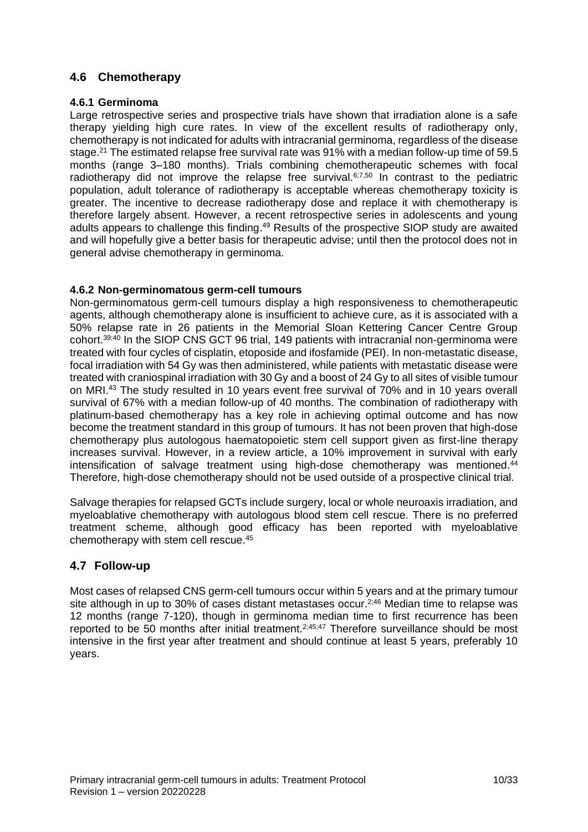## <span id="page-9-0"></span>**4.6 Chemotherapy**

## **4.6.1 Germinoma**

Large retrospective series and prospective trials have shown that irradiation alone is a safe therapy yielding high cure rates. In view of the excellent results of radiotherapy only, chemotherapy is not indicated for adults with intracranial germinoma, regardless of the disease stage.<sup>21</sup> The estimated relapse free survival rate was 91% with a median follow-up time of 59.5 months (range 3–180 months). Trials combining chemotherapeutic schemes with focal radiotherapy did not improve the relapse free survival. $6,7,50$  In contrast to the pediatric population, adult tolerance of radiotherapy is acceptable whereas chemotherapy toxicity is greater. The incentive to decrease radiotherapy dose and replace it with chemotherapy is therefore largely absent. However, a recent retrospective series in adolescents and young adults appears to challenge this finding.<sup>49</sup> Results of the prospective SIOP study are awaited and will hopefully give a better basis for therapeutic advise; until then the protocol does not in general advise chemotherapy in germinoma.

## **4.6.2 Non-germinomatous germ-cell tumours**

Non-germinomatous germ-cell tumours display a high responsiveness to chemotherapeutic agents, although chemotherapy alone is insufficient to achieve cure, as it is associated with a 50% relapse rate in 26 patients in the Memorial Sloan Kettering Cancer Centre Group cohort. 39;40 In the SIOP CNS GCT 96 trial, 149 patients with intracranial non-germinoma were treated with four cycles of cisplatin, etoposide and ifosfamide (PEI). In non-metastatic disease, focal irradiation with 54 Gy was then administered, while patients with metastatic disease were treated with craniospinal irradiation with 30 Gy and a boost of 24 Gy to all sites of visible tumour on MRI.<sup>43</sup> The study resulted in 10 years event free survival of 70% and in 10 years overall survival of 67% with a median follow-up of 40 months. The combination of radiotherapy with platinum-based chemotherapy has a key role in achieving optimal outcome and has now become the treatment standard in this group of tumours. It has not been proven that high-dose chemotherapy plus autologous haematopoietic stem cell support given as first-line therapy increases survival. However, in a review article, a 10% improvement in survival with early intensification of salvage treatment using high-dose chemotherapy was mentioned. $44$ Therefore, high-dose chemotherapy should not be used outside of a prospective clinical trial.

Salvage therapies for relapsed GCTs include surgery, local or whole neuroaxis irradiation, and myeloablative chemotherapy with autologous blood stem cell rescue. There is no preferred treatment scheme, although good efficacy has been reported with myeloablative chemotherapy with stem cell rescue.<sup>45</sup>

## <span id="page-9-1"></span>**4.7 Follow-up**

Most cases of relapsed CNS germ-cell tumours occur within 5 years and at the primary tumour site although in up to 30% of cases distant metastases occur.<sup>2;46</sup> Median time to relapse was 12 months (range 7-120), though in germinoma median time to first recurrence has been reported to be 50 months after initial treatment.<sup>2;45;47</sup> Therefore surveillance should be most intensive in the first year after treatment and should continue at least 5 years, preferably 10 years.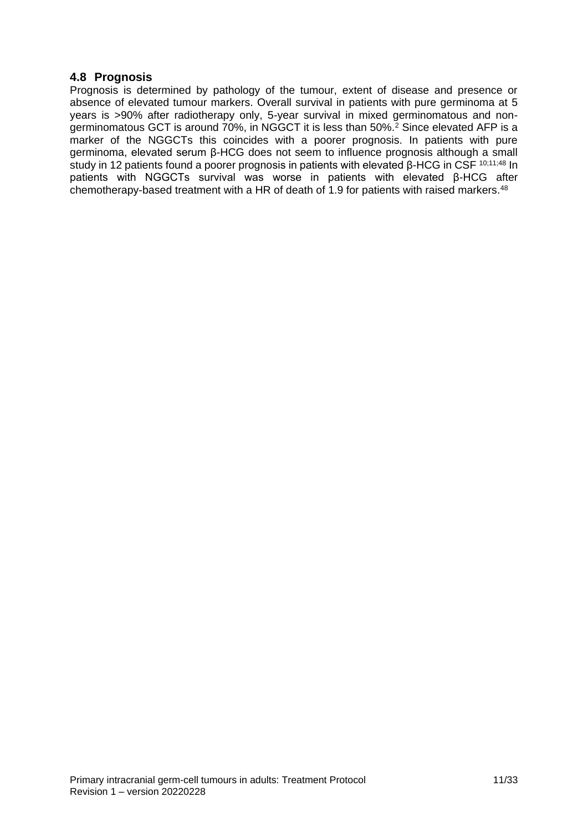## <span id="page-10-0"></span>**4.8 Prognosis**

Prognosis is determined by pathology of the tumour, extent of disease and presence or absence of elevated tumour markers. Overall survival in patients with pure germinoma at 5 years is >90% after radiotherapy only, 5-year survival in mixed germinomatous and non- $\alpha$  derminomatous GCT is around 70%, in NGGCT it is less than 50%.<sup>2</sup> Since elevated AFP is a marker of the NGGCTs this coincides with a poorer prognosis. In patients with pure germinoma, elevated serum β-HCG does not seem to influence prognosis although a small study in 12 patients found a poorer prognosis in patients with elevated β-HCG in CSF 10;11;48 In patients with NGGCTs survival was worse in patients with elevated β-HCG after chemotherapy-based treatment with a HR of death of 1.9 for patients with raised markers.<sup>48</sup>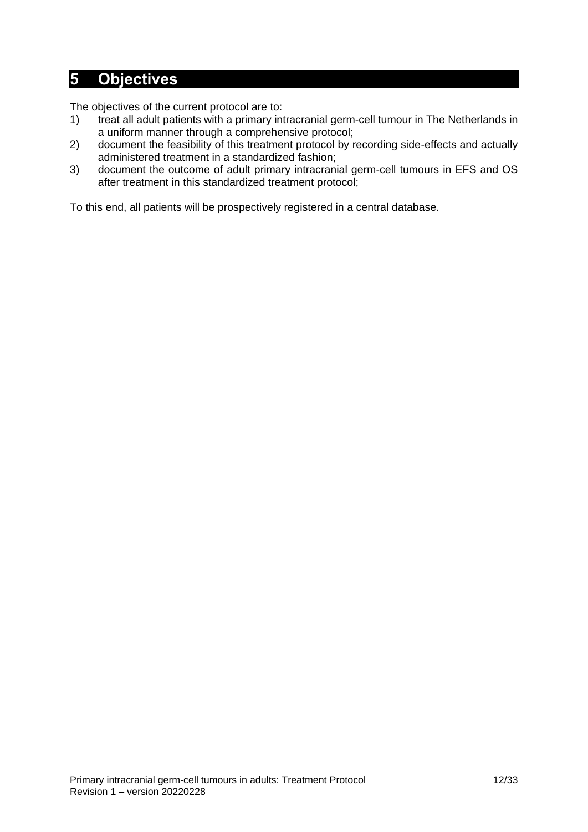## <span id="page-11-0"></span>**5 Objectives**

The objectives of the current protocol are to:

- 1) treat all adult patients with a primary intracranial germ-cell tumour in The Netherlands in a uniform manner through a comprehensive protocol;
- 2) document the feasibility of this treatment protocol by recording side-effects and actually administered treatment in a standardized fashion;
- 3) document the outcome of adult primary intracranial germ-cell tumours in EFS and OS after treatment in this standardized treatment protocol;

To this end, all patients will be prospectively registered in a central database.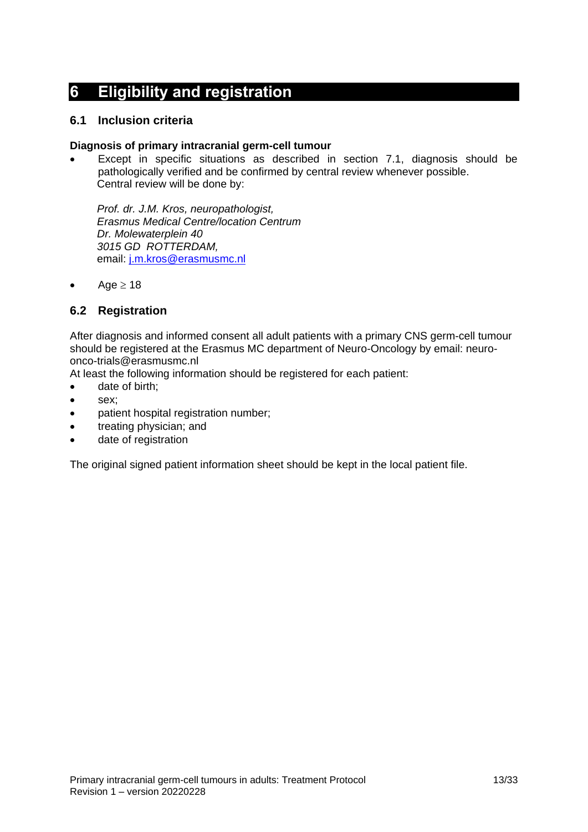## <span id="page-12-0"></span>**6 Eligibility and registration**

## <span id="page-12-1"></span>**6.1 Inclusion criteria**

#### **Diagnosis of primary intracranial germ-cell tumour**

Except in specific situations as described in section 7.1, diagnosis should be pathologically verified and be confirmed by central review whenever possible. Central review will be done by:

*Prof. dr. J.M. Kros, neuropathologist, Erasmus Medical Centre/location Centrum Dr. Molewaterplein 40 3015 GD ROTTERDAM,* email: [j.m.kros@erasmusmc.nl](mailto:j.m.kros@erasmusmc.nl)

• Age  $\geq 18$ 

## <span id="page-12-2"></span>**6.2 Registration**

After diagnosis and informed consent all adult patients with a primary CNS germ-cell tumour should be registered at the Erasmus MC department of Neuro-Oncology by email: neuroonco-trials@erasmusmc.nl

At least the following information should be registered for each patient:

- date of birth;
- sex;
- patient hospital registration number;
- treating physician; and
- date of registration

The original signed patient information sheet should be kept in the local patient file.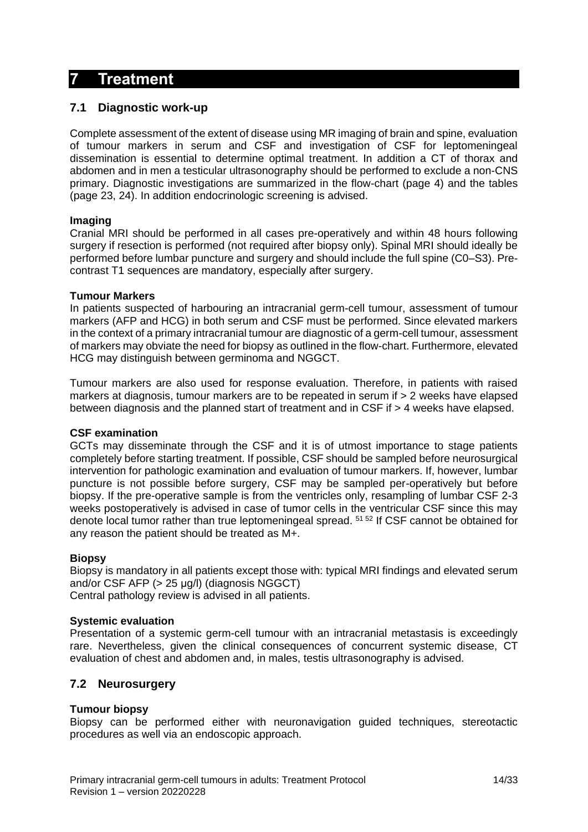## <span id="page-13-0"></span>**7 Treatment**

## <span id="page-13-1"></span>**7.1 Diagnostic work-up**

Complete assessment of the extent of disease using MR imaging of brain and spine, evaluation of tumour markers in serum and CSF and investigation of CSF for leptomeningeal dissemination is essential to determine optimal treatment. In addition a CT of thorax and abdomen and in men a testicular ultrasonography should be performed to exclude a non-CNS primary. Diagnostic investigations are summarized in the flow-chart (page 4) and the tables (page 23, 24). In addition endocrinologic screening is advised.

## **Imaging**

Cranial MRI should be performed in all cases pre-operatively and within 48 hours following surgery if resection is performed (not required after biopsy only). Spinal MRI should ideally be performed before lumbar puncture and surgery and should include the full spine (C0–S3). Precontrast T1 sequences are mandatory, especially after surgery.

## **Tumour Markers**

In patients suspected of harbouring an intracranial germ-cell tumour, assessment of tumour markers (AFP and HCG) in both serum and CSF must be performed. Since elevated markers in the context of a primary intracranial tumour are diagnostic of a germ-cell tumour, assessment of markers may obviate the need for biopsy as outlined in the flow-chart. Furthermore, elevated HCG may distinguish between germinoma and NGGCT.

Tumour markers are also used for response evaluation. Therefore, in patients with raised markers at diagnosis, tumour markers are to be repeated in serum if > 2 weeks have elapsed between diagnosis and the planned start of treatment and in CSF if > 4 weeks have elapsed.

## **CSF examination**

GCTs may disseminate through the CSF and it is of utmost importance to stage patients completely before starting treatment. If possible, CSF should be sampled before neurosurgical intervention for pathologic examination and evaluation of tumour markers. If, however, lumbar puncture is not possible before surgery, CSF may be sampled per-operatively but before biopsy. If the pre-operative sample is from the ventricles only, resampling of lumbar CSF 2-3 weeks postoperatively is advised in case of tumor cells in the ventricular CSF since this may denote local tumor rather than true leptomeningeal spread. 51 52 If CSF cannot be obtained for any reason the patient should be treated as M+.

## **Biopsy**

Biopsy is mandatory in all patients except those with: typical MRI findings and elevated serum and/or CSF AFP (> 25 μg/l) (diagnosis NGGCT) Central pathology review is advised in all patients.

## **Systemic evaluation**

Presentation of a systemic germ-cell tumour with an intracranial metastasis is exceedingly rare. Nevertheless, given the clinical consequences of concurrent systemic disease, CT evaluation of chest and abdomen and, in males, testis ultrasonography is advised.

## <span id="page-13-2"></span>**7.2 Neurosurgery**

## **Tumour biopsy**

Biopsy can be performed either with neuronavigation guided techniques, stereotactic procedures as well via an endoscopic approach.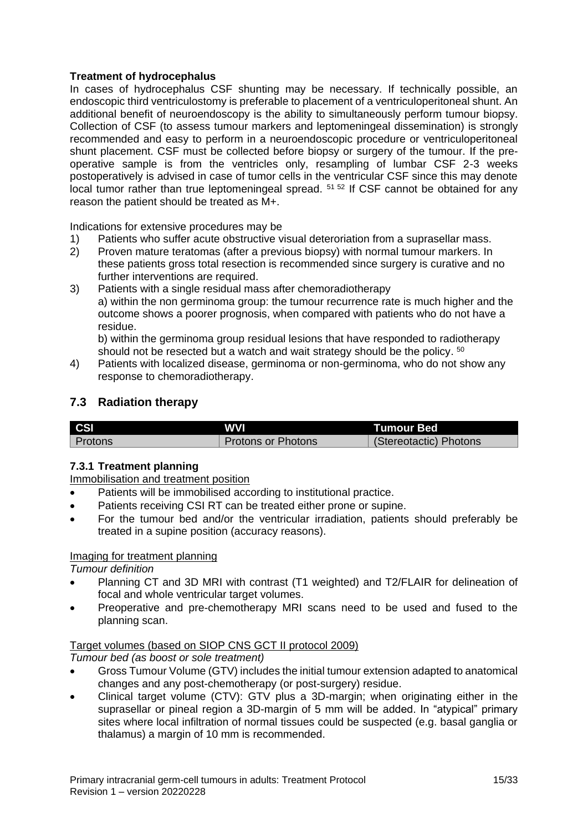## **Treatment of hydrocephalus**

In cases of hydrocephalus CSF shunting may be necessary. If technically possible, an endoscopic third ventriculostomy is preferable to placement of a ventriculoperitoneal shunt. An additional benefit of neuroendoscopy is the ability to simultaneously perform tumour biopsy. Collection of CSF (to assess tumour markers and leptomeningeal dissemination) is strongly recommended and easy to perform in a neuroendoscopic procedure or ventriculoperitoneal shunt placement. CSF must be collected before biopsy or surgery of the tumour. If the preoperative sample is from the ventricles only, resampling of lumbar CSF 2-3 weeks postoperatively is advised in case of tumor cells in the ventricular CSF since this may denote local tumor rather than true leptomeningeal spread. <sup>51 52</sup> If CSF cannot be obtained for any reason the patient should be treated as M+.

Indications for extensive procedures may be

- 1) Patients who suffer acute obstructive visual deteroriation from a suprasellar mass.
- 2) Proven mature teratomas (after a previous biopsy) with normal tumour markers. In these patients gross total resection is recommended since surgery is curative and no further interventions are required.
- 3) Patients with a single residual mass after chemoradiotherapy a) within the non germinoma group: the tumour recurrence rate is much higher and the outcome shows a poorer prognosis, when compared with patients who do not have a residue.

b) within the germinoma group residual lesions that have responded to radiotherapy should not be resected but a watch and wait strategy should be the policy. <sup>50</sup>

4) Patients with localized disease, germinoma or non-germinoma, who do not show any response to chemoradiotherapy.

## <span id="page-14-0"></span>**7.3 Radiation therapy**

| <b>CSI</b> | WVI                       | <b>Tumour Bed</b>      |
|------------|---------------------------|------------------------|
| Protons    | <b>Protons or Photons</b> | (Stereotactic) Photons |

## **7.3.1 Treatment planning**

Immobilisation and treatment position

- Patients will be immobilised according to institutional practice.
- Patients receiving CSI RT can be treated either prone or supine.
- For the tumour bed and/or the ventricular irradiation, patients should preferably be treated in a supine position (accuracy reasons).

## Imaging for treatment planning

*Tumour definition*

- Planning CT and 3D MRI with contrast (T1 weighted) and T2/FLAIR for delineation of focal and whole ventricular target volumes.
- Preoperative and pre-chemotherapy MRI scans need to be used and fused to the planning scan.

## Target volumes (based on SIOP CNS GCT II protocol 2009)

*Tumour bed (as boost or sole treatment)*

- Gross Tumour Volume (GTV) includes the initial tumour extension adapted to anatomical changes and any post-chemotherapy (or post-surgery) residue.
- Clinical target volume (CTV): GTV plus a 3D-margin; when originating either in the suprasellar or pineal region a 3D-margin of 5 mm will be added. In "atypical" primary sites where local infiltration of normal tissues could be suspected (e.g. basal ganglia or thalamus) a margin of 10 mm is recommended.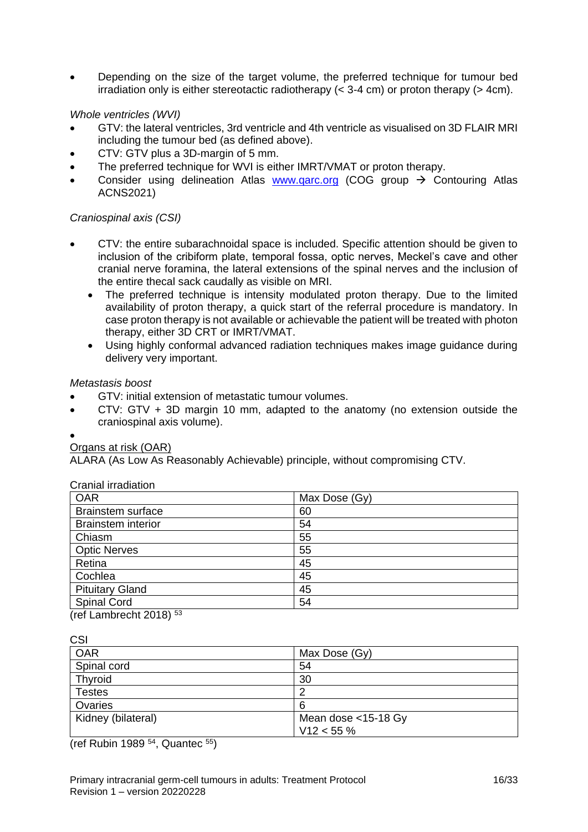• Depending on the size of the target volume, the preferred technique for tumour bed irradiation only is either stereotactic radiotherapy  $( $3-4$  cm) or proton therapy  $(>4$ cm).$ 

#### *Whole ventricles (WVI)*

- GTV: the lateral ventricles, 3rd ventricle and 4th ventricle as visualised on 3D FLAIR MRI including the tumour bed (as defined above).
- CTV: GTV plus a 3D-margin of 5 mm.
- The preferred technique for WVI is either IMRT/VMAT or proton therapy.
- Consider using delineation Atlas www.garc.org (COG group  $\rightarrow$  Contouring Atlas ACNS2021)

### *Craniospinal axis (CSI)*

- CTV: the entire subarachnoidal space is included. Specific attention should be given to inclusion of the cribiform plate, temporal fossa, optic nerves, Meckel's cave and other cranial nerve foramina, the lateral extensions of the spinal nerves and the inclusion of the entire thecal sack caudally as visible on MRI.
	- The preferred technique is intensity modulated proton therapy. Due to the limited availability of proton therapy, a quick start of the referral procedure is mandatory. In case proton therapy is not available or achievable the patient will be treated with photon therapy, either 3D CRT or IMRT/VMAT.
	- Using highly conformal advanced radiation techniques makes image guidance during delivery very important.

#### *Metastasis boost*

- GTV: initial extension of metastatic tumour volumes.
- $CTV: GTV + 3D$  margin 10 mm, adapted to the anatomy (no extension outside the craniospinal axis volume).

#### •

## Organs at risk (OAR)

ALARA (As Low As Reasonably Achievable) principle, without compromising CTV.

| Cranial irradiation       |               |
|---------------------------|---------------|
| <b>OAR</b>                | Max Dose (Gy) |
| <b>Brainstem surface</b>  | 60            |
| <b>Brainstem interior</b> | 54            |
| Chiasm                    | 55            |
| <b>Optic Nerves</b>       | 55            |
| Retina                    | 45            |
| Cochlea                   | 45            |
| <b>Pituitary Gland</b>    | 45            |
| <b>Spinal Cord</b>        | 54            |
|                           |               |

(ref Lambrecht 2018) 53

| ۰.                            |  |
|-------------------------------|--|
| ۰,<br>I<br>×<br>۰.<br>×<br>۰, |  |

| <b>OAR</b>         | Max Dose (Gy)       |
|--------------------|---------------------|
| Spinal cord        | 54                  |
| Thyroid            | 30                  |
| <b>Testes</b>      |                     |
| Ovaries            | 6                   |
| Kidney (bilateral) | Mean dose <15-18 Gy |
|                    | $V12 < 55 \%$       |

(ref Rubin 1989  $54$ , Quantec  $55$ )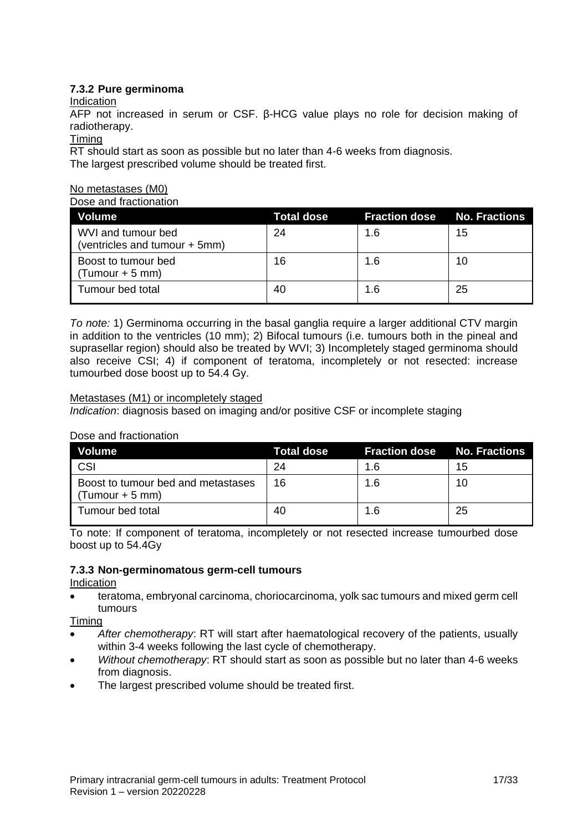## **7.3.2 Pure germinoma**

## Indication

AFP not increased in serum or CSF. β-HCG value plays no role for decision making of radiotherapy.

#### Timing

RT should start as soon as possible but no later than 4-6 weeks from diagnosis. The largest prescribed volume should be treated first.

#### No metastases (M0)

#### Dose and fractionation

| Volume                                              | <b>Total dose</b> | <b>Fraction dose No. Fractions</b> |    |
|-----------------------------------------------------|-------------------|------------------------------------|----|
| WVI and tumour bed<br>(ventricles and tumour + 5mm) | 24                | 1.6                                | 15 |
| Boost to tumour bed<br>$(Tumour + 5 mm)$            | 16                | 1.6                                | 10 |
| Tumour bed total                                    | 40                | 1.6                                | 25 |

*To note:* 1) Germinoma occurring in the basal ganglia require a larger additional CTV margin in addition to the ventricles (10 mm); 2) Bifocal tumours (i.e. tumours both in the pineal and suprasellar region) should also be treated by WVI; 3) Incompletely staged germinoma should also receive CSI; 4) if component of teratoma, incompletely or not resected: increase tumourbed dose boost up to 54.4 Gy.

## Metastases (M1) or incompletely staged

*Indication*: diagnosis based on imaging and/or positive CSF or incomplete staging

## Dose and fractionation

| <b>Volume</b>                                           | Total dose | <b>Fraction dose No. Fractions</b> |    |
|---------------------------------------------------------|------------|------------------------------------|----|
| CSI                                                     | 24         | 1.6                                | 15 |
| Boost to tumour bed and metastases<br>$(Tumour + 5 mm)$ | 16         | 1.6                                | 10 |
| Tumour bed total                                        | 40         | 1.6                                | 25 |

To note: If component of teratoma, incompletely or not resected increase tumourbed dose boost up to 54.4Gy

## **7.3.3 Non-germinomatous germ-cell tumours**

## Indication

• teratoma, embryonal carcinoma, choriocarcinoma, yolk sac tumours and mixed germ cell tumours

Timing

- *After chemotherapy*: RT will start after haematological recovery of the patients, usually within 3-4 weeks following the last cycle of chemotherapy.
- *Without chemotherapy*: RT should start as soon as possible but no later than 4-6 weeks from diagnosis.
- The largest prescribed volume should be treated first.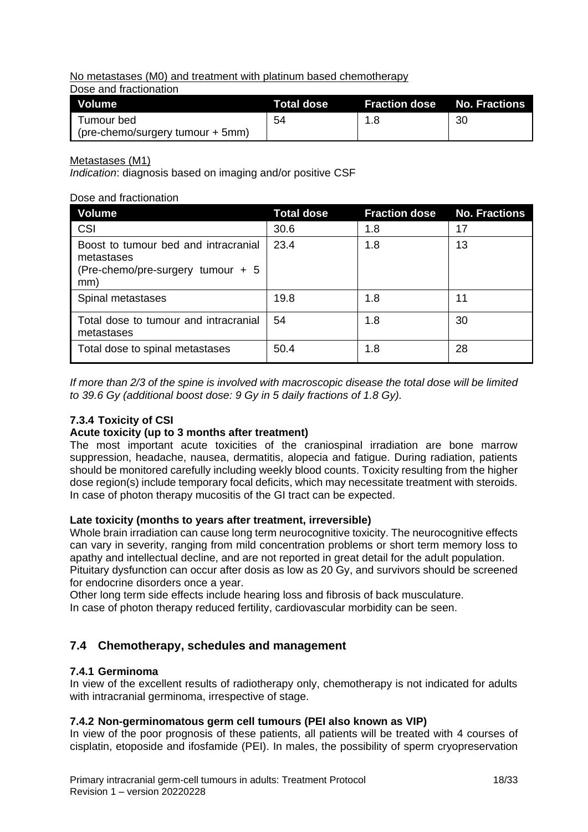No metastases (M0) and treatment with platinum based chemotherapy

Dose and fractionation

| Volume                           | Total dose | <b>Fraction dose No. Fractions</b> |    |
|----------------------------------|------------|------------------------------------|----|
| l Tumour bed                     | 54         | 1.8                                | 30 |
| (pre-chemo/surgery tumour + 5mm) |            |                                    |    |

Metastases (M1)

*Indication*: diagnosis based on imaging and/or positive CSF

## Dose and fractionation

| <b>Volume</b>                                                                                  | <b>Total dose</b> | <b>Fraction dose</b> | <b>No. Fractions</b> |
|------------------------------------------------------------------------------------------------|-------------------|----------------------|----------------------|
| CSI                                                                                            | 30.6              | 1.8                  | 17                   |
| Boost to tumour bed and intracranial<br>metastases<br>(Pre-chemo/pre-surgery tumour + 5<br>mm) | 23.4              | 1.8                  | 13                   |
| Spinal metastases                                                                              | 19.8              | 1.8                  | 11                   |
| Total dose to tumour and intracranial<br>metastases                                            | 54                | 1.8                  | 30                   |
| Total dose to spinal metastases                                                                | 50.4              | 1.8                  | 28                   |

*If more than 2/3 of the spine is involved with macroscopic disease the total dose will be limited to 39.6 Gy (additional boost dose: 9 Gy in 5 daily fractions of 1.8 Gy).*

## **7.3.4 Toxicity of CSI**

## **Acute toxicity (up to 3 months after treatment)**

The most important acute toxicities of the craniospinal irradiation are bone marrow suppression, headache, nausea, dermatitis, alopecia and fatigue. During radiation, patients should be monitored carefully including weekly blood counts. Toxicity resulting from the higher dose region(s) include temporary focal deficits, which may necessitate treatment with steroids. In case of photon therapy mucositis of the GI tract can be expected.

## **Late toxicity (months to years after treatment, irreversible)**

Whole brain irradiation can cause long term neurocognitive toxicity. The neurocognitive effects can vary in severity, ranging from mild concentration problems or short term memory loss to apathy and intellectual decline, and are not reported in great detail for the adult population. Pituitary dysfunction can occur after dosis as low as 20 Gy, and survivors should be screened for endocrine disorders once a year.

Other long term side effects include hearing loss and fibrosis of back musculature.

In case of photon therapy reduced fertility, cardiovascular morbidity can be seen.

## <span id="page-17-0"></span>**7.4 Chemotherapy, schedules and management**

## **7.4.1 Germinoma**

In view of the excellent results of radiotherapy only, chemotherapy is not indicated for adults with intracranial germinoma, irrespective of stage.

## **7.4.2 Non-germinomatous germ cell tumours (PEI also known as VIP)**

In view of the poor prognosis of these patients, all patients will be treated with 4 courses of cisplatin, etoposide and ifosfamide (PEI). In males, the possibility of sperm cryopreservation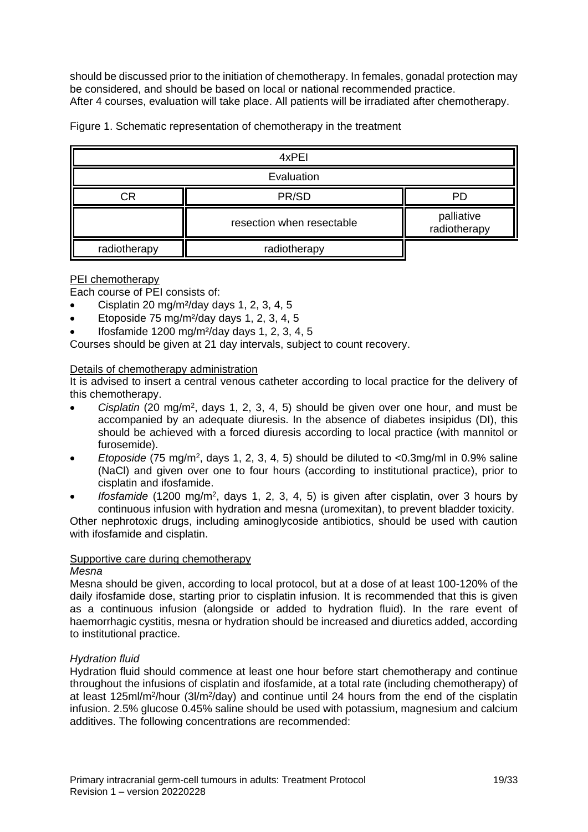should be discussed prior to the initiation of chemotherapy. In females, gonadal protection may be considered, and should be based on local or national recommended practice. After 4 courses, evaluation will take place. All patients will be irradiated after chemotherapy.

| 4xPEI        |                           |                            |  |  |
|--------------|---------------------------|----------------------------|--|--|
| Evaluation   |                           |                            |  |  |
| СR           | PR/SD                     | <b>PD</b>                  |  |  |
|              | resection when resectable | palliative<br>radiotherapy |  |  |
| radiotherapy | radiotherapy              |                            |  |  |

Figure 1. Schematic representation of chemotherapy in the treatment

#### PEI chemotherapy

Each course of PEI consists of:

- Cisplatin 20 mg/m<sup>2</sup>/day days 1, 2, 3, 4, 5
- Etoposide 75 mg/m²/day days 1, 2, 3, 4, 5
- Ifosfamide 1200 mg/m²/day days 1, 2, 3, 4, 5

Courses should be given at 21 day intervals, subject to count recovery.

#### Details of chemotherapy administration

It is advised to insert a central venous catheter according to local practice for the delivery of this chemotherapy.

- Cisplatin (20 mg/m<sup>2</sup>, days 1, 2, 3, 4, 5) should be given over one hour, and must be accompanied by an adequate diuresis. In the absence of diabetes insipidus (DI), this should be achieved with a forced diuresis according to local practice (with mannitol or furosemide).
- *Etoposide* (75 mg/m<sup>2</sup>, days 1, 2, 3, 4, 5) should be diluted to <0.3mg/ml in 0.9% saline (NaCl) and given over one to four hours (according to institutional practice), prior to cisplatin and ifosfamide.
- *Ifosfamide* (1200 mg/m<sup>2</sup>, days 1, 2, 3, 4, 5) is given after cisplatin, over 3 hours by continuous infusion with hydration and mesna (uromexitan), to prevent bladder toxicity.

Other nephrotoxic drugs, including aminoglycoside antibiotics, should be used with caution with ifosfamide and cisplatin.

## Supportive care during chemotherapy

#### *Mesna*

Mesna should be given, according to local protocol, but at a dose of at least 100-120% of the daily ifosfamide dose, starting prior to cisplatin infusion. It is recommended that this is given as a continuous infusion (alongside or added to hydration fluid). In the rare event of haemorrhagic cystitis, mesna or hydration should be increased and diuretics added, according to institutional practice.

## *Hydration fluid*

Hydration fluid should commence at least one hour before start chemotherapy and continue throughout the infusions of cisplatin and ifosfamide, at a total rate (including chemotherapy) of at least 125ml/m<sup>2</sup>/hour (3l/m<sup>2</sup>/day) and continue until 24 hours from the end of the cisplatin infusion. 2.5% glucose 0.45% saline should be used with potassium, magnesium and calcium additives. The following concentrations are recommended: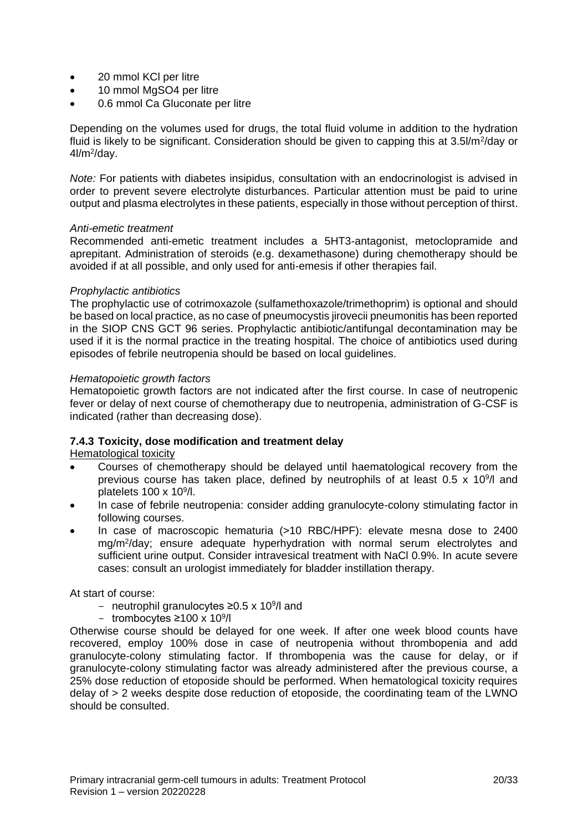- 20 mmol KCI per litre
- 10 mmol MgSO4 per litre
- 0.6 mmol Ca Gluconate per litre

Depending on the volumes used for drugs, the total fluid volume in addition to the hydration fluid is likely to be significant. Consideration should be given to capping this at 3.5I/m<sup>2</sup>/day or 4l/m<sup>2</sup>/day.

*Note:* For patients with diabetes insipidus, consultation with an endocrinologist is advised in order to prevent severe electrolyte disturbances. Particular attention must be paid to urine output and plasma electrolytes in these patients, especially in those without perception of thirst.

#### *Anti-emetic treatment*

Recommended anti-emetic treatment includes a 5HT3-antagonist, metoclopramide and aprepitant. Administration of steroids (e.g. dexamethasone) during chemotherapy should be avoided if at all possible, and only used for anti-emesis if other therapies fail.

#### *Prophylactic antibiotics*

The prophylactic use of cotrimoxazole (sulfamethoxazole/trimethoprim) is optional and should be based on local practice, as no case of pneumocystis jirovecii pneumonitis has been reported in the SIOP CNS GCT 96 series. Prophylactic antibiotic/antifungal decontamination may be used if it is the normal practice in the treating hospital. The choice of antibiotics used during episodes of febrile neutropenia should be based on local guidelines.

#### *Hematopoietic growth factors*

Hematopoietic growth factors are not indicated after the first course. In case of neutropenic fever or delay of next course of chemotherapy due to neutropenia, administration of G-CSF is indicated (rather than decreasing dose).

## **7.4.3 Toxicity, dose modification and treatment delay**

Hematological toxicity

- Courses of chemotherapy should be delayed until haematological recovery from the previous course has taken place, defined by neutrophils of at least  $0.5 \times 10^{9}$ /l and platelets  $100 \times 10^9$ /l.
- In case of febrile neutropenia: consider adding granulocyte-colony stimulating factor in following courses.
- In case of macroscopic hematuria (>10 RBC/HPF): elevate mesna dose to 2400 mg/m<sup>2</sup> /day; ensure adequate hyperhydration with normal serum electrolytes and sufficient urine output. Consider intravesical treatment with NaCl 0.9%. In acute severe cases: consult an urologist immediately for bladder instillation therapy.

At start of course:

- neutrophil granulocytes ≥0.5 x 10<sup>9</sup>/l and
- trombocytes ≥100 x 10<sup>9</sup> /l

Otherwise course should be delayed for one week. If after one week blood counts have recovered, employ 100% dose in case of neutropenia without thrombopenia and add granulocyte-colony stimulating factor. If thrombopenia was the cause for delay, or if granulocyte-colony stimulating factor was already administered after the previous course, a 25% dose reduction of etoposide should be performed. When hematological toxicity requires delay of > 2 weeks despite dose reduction of etoposide, the coordinating team of the LWNO should be consulted.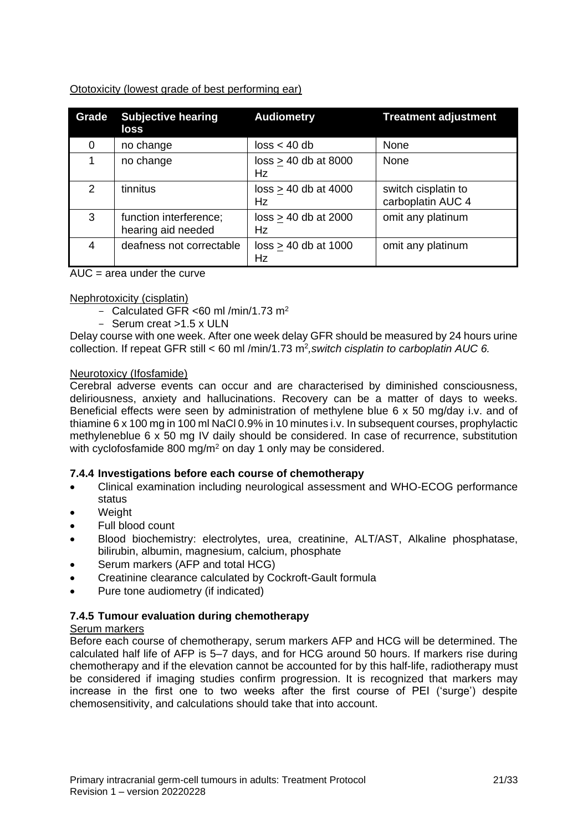## Ototoxicity (lowest grade of best performing ear)

| Grade    | <b>Subjective hearing</b><br>loss            | <b>Audiometry</b>                   | <b>Treatment adjustment</b>              |
|----------|----------------------------------------------|-------------------------------------|------------------------------------------|
| $\Omega$ | no change                                    | loss < 40 db                        | None                                     |
| 1        | no change                                    | $loss > 40$ db at 8000<br><b>Hz</b> | None                                     |
| 2        | tinnitus                                     | $loss \geq 40$ db at 4000<br>Hz     | switch cisplatin to<br>carboplatin AUC 4 |
| 3        | function interference;<br>hearing aid needed | $loss > 40$ db at 2000<br>Hz        | omit any platinum                        |
| 4        | deafness not correctable                     | $loss > 40$ db at 1000<br>Hz        | omit any platinum                        |

 $AUC = area$  under the curve

## Nephrotoxicity (cisplatin)

- Calculated GFR  $<60$  ml /min/1.73 m<sup>2</sup>
- Serum creat > 1.5 x ULN

Delay course with one week. After one week delay GFR should be measured by 24 hours urine collection. If repeat GFR still < 60 ml /min/1.73 m<sup>2</sup> *,switch cisplatin to carboplatin AUC 6.*

## Neurotoxicy (Ifosfamide)

Cerebral adverse events can occur and are characterised by diminished consciousness, deliriousness, anxiety and hallucinations. Recovery can be a matter of days to weeks. Beneficial effects were seen by administration of methylene blue 6 x 50 mg/day i.v. and of thiamine 6 x 100 mg in 100 ml NaCl 0.9% in 10 minutes i.v. In subsequent courses, prophylactic methyleneblue 6 x 50 mg IV daily should be considered. In case of recurrence, substitution with cyclofosfamide 800 mg/m<sup>2</sup> on day 1 only may be considered.

## **7.4.4 Investigations before each course of chemotherapy**

- Clinical examination including neurological assessment and WHO-ECOG performance status
- **Weight**
- Full blood count
- Blood biochemistry: electrolytes, urea, creatinine, ALT/AST, Alkaline phosphatase, bilirubin, albumin, magnesium, calcium, phosphate
- Serum markers (AFP and total HCG)
- Creatinine clearance calculated by Cockroft-Gault formula
- Pure tone audiometry (if indicated)

## **7.4.5 Tumour evaluation during chemotherapy**

## Serum markers

Before each course of chemotherapy, serum markers AFP and HCG will be determined. The calculated half life of AFP is 5–7 days, and for HCG around 50 hours. If markers rise during chemotherapy and if the elevation cannot be accounted for by this half-life, radiotherapy must be considered if imaging studies confirm progression. It is recognized that markers may increase in the first one to two weeks after the first course of PEI ('surge') despite chemosensitivity, and calculations should take that into account.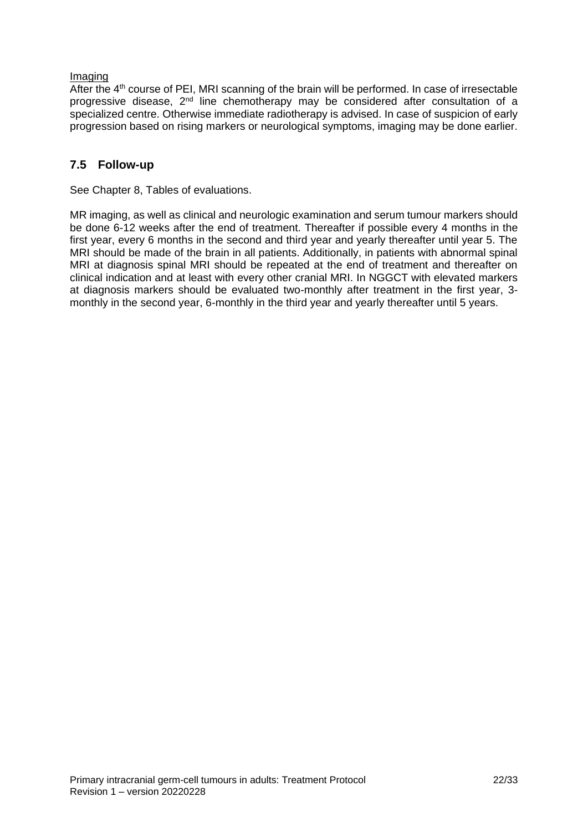## Imaging

After the 4<sup>th</sup> course of PEI, MRI scanning of the brain will be performed. In case of irresectable progressive disease, 2nd line chemotherapy may be considered after consultation of a specialized centre. Otherwise immediate radiotherapy is advised. In case of suspicion of early progression based on rising markers or neurological symptoms, imaging may be done earlier.

## <span id="page-21-0"></span>**7.5 Follow-up**

See Chapter 8, Tables of evaluations.

MR imaging, as well as clinical and neurologic examination and serum tumour markers should be done 6-12 weeks after the end of treatment. Thereafter if possible every 4 months in the first year, every 6 months in the second and third year and yearly thereafter until year 5. The MRI should be made of the brain in all patients. Additionally, in patients with abnormal spinal MRI at diagnosis spinal MRI should be repeated at the end of treatment and thereafter on clinical indication and at least with every other cranial MRI. In NGGCT with elevated markers at diagnosis markers should be evaluated two-monthly after treatment in the first year, 3 monthly in the second year, 6-monthly in the third year and yearly thereafter until 5 years.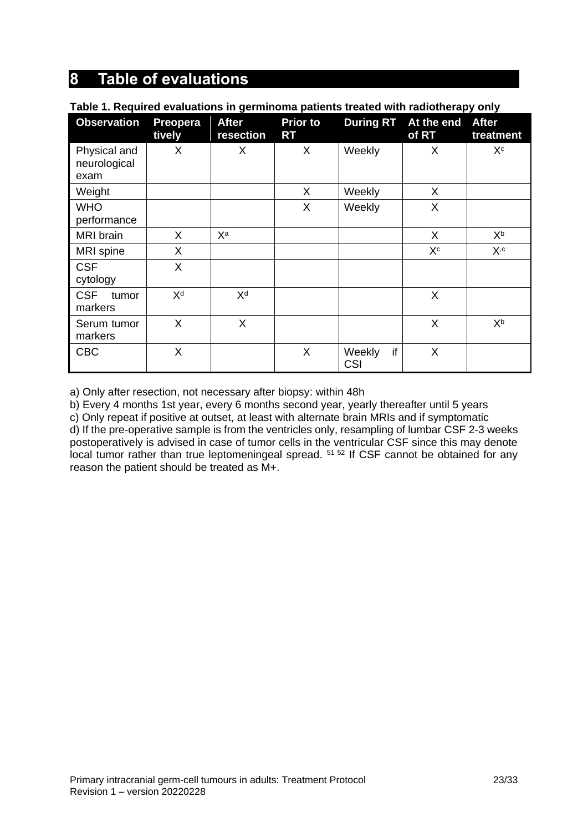## <span id="page-22-0"></span>**8 Table of evaluations**

| rable it is quited evaluations in germinolita patients treated with radiotherapy only |                    |                           |                       |                            |                     |                           |
|---------------------------------------------------------------------------------------|--------------------|---------------------------|-----------------------|----------------------------|---------------------|---------------------------|
| <b>Observation</b>                                                                    | Preopera<br>tively | <b>After</b><br>resection | <b>Prior to</b><br>RT | <b>During RT</b>           | At the end<br>of RT | <b>After</b><br>treatment |
| Physical and<br>neurological<br>exam                                                  | X                  | X                         | X                     | Weekly                     | X                   | Хc                        |
| Weight                                                                                |                    |                           | X                     | Weekly                     | X                   |                           |
| <b>WHO</b><br>performance                                                             |                    |                           | X                     | Weekly                     | X                   |                           |
| <b>MRI</b> brain                                                                      | X.                 | Xa                        |                       |                            | X                   | Хp                        |
| <b>MRI</b> spine                                                                      | X                  |                           |                       |                            | $X^c$               | $X$ ,c                    |
| <b>CSF</b><br>cytology                                                                | X                  |                           |                       |                            |                     |                           |
| <b>CSF</b><br>tumor<br>markers                                                        | X <sup>d</sup>     | X <sup>d</sup>            |                       |                            | X                   |                           |
| Serum tumor<br>markers                                                                | X                  | X                         |                       |                            | $\sf X$             | Xb                        |
| <b>CBC</b>                                                                            | X                  |                           | X                     | if<br>Weekly<br><b>CSI</b> | X                   |                           |

#### **Table 1. Required evaluations in germinoma patients treated with radiotherapy only**

a) Only after resection, not necessary after biopsy: within 48h

b) Every 4 months 1st year, every 6 months second year, yearly thereafter until 5 years

c) Only repeat if positive at outset, at least with alternate brain MRIs and if symptomatic d) If the pre-operative sample is from the ventricles only, resampling of lumbar CSF 2-3 weeks postoperatively is advised in case of tumor cells in the ventricular CSF since this may denote local tumor rather than true leptomeningeal spread. <sup>51 52</sup> If CSF cannot be obtained for any reason the patient should be treated as M+.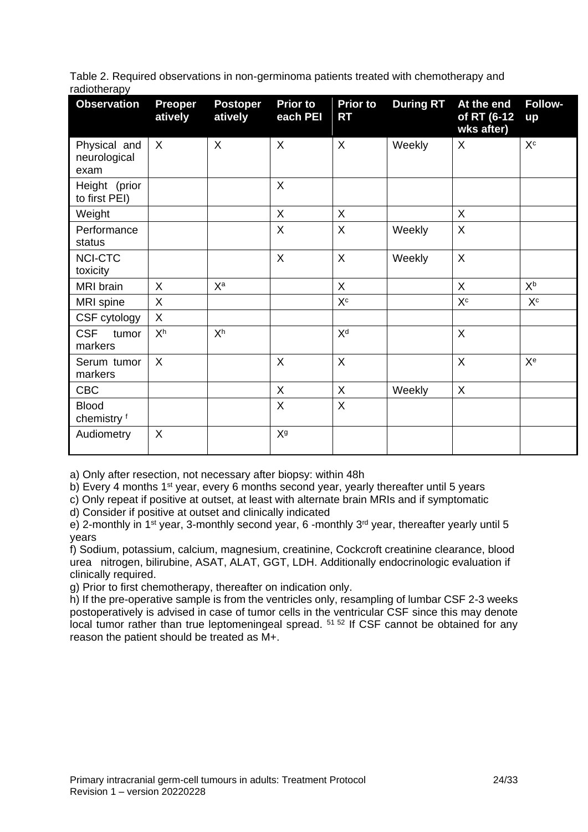|              | Table 2. Required observations in non-germinoma patients treated with chemotherapy and |  |  |
|--------------|----------------------------------------------------------------------------------------|--|--|
| radiotherapy |                                                                                        |  |  |

| <b>Observation</b>                   | <b>Preoper</b><br>atively | <b>Postoper</b><br>atively | <b>Prior to</b><br>each PEI | <b>Prior to</b><br><b>RT</b> | <b>During RT</b> | At the end<br>of RT (6-12<br>wks after) | <b>Follow-</b><br>up            |
|--------------------------------------|---------------------------|----------------------------|-----------------------------|------------------------------|------------------|-----------------------------------------|---------------------------------|
| Physical and<br>neurological<br>exam | $\sf X$                   | $\sf X$                    | X                           | X                            | Weekly           | X                                       | $\mathsf{X}^{\operatorname{c}}$ |
| Height (prior<br>to first PEI)       |                           |                            | X                           |                              |                  |                                         |                                 |
| Weight                               |                           |                            | $\sf X$                     | $\mathsf{X}$                 |                  | $\mathsf{X}$                            |                                 |
| Performance<br>status                |                           |                            | X                           | X                            | Weekly           | $\boldsymbol{\mathsf{X}}$               |                                 |
| <b>NCI-CTC</b><br>toxicity           |                           |                            | X                           | $\sf X$                      | Weekly           | $\mathsf{X}$                            |                                 |
| MRI brain                            | $\sf X$                   | Xa                         |                             | $\mathsf{X}$                 |                  | $\sf X$                                 | $X^b$                           |
| MRI spine                            | X                         |                            |                             | $X^c$                        |                  | X <sup>c</sup>                          | $X^c$                           |
| CSF cytology                         | $\sf X$                   |                            |                             |                              |                  |                                         |                                 |
| <b>CSF</b><br>tumor<br>markers       | X <sup>h</sup>            | X <sup>h</sup>             |                             | X <sup>d</sup>               |                  | $\boldsymbol{\mathsf{X}}$               |                                 |
| Serum tumor<br>markers               | X                         |                            | X                           | $\boldsymbol{\mathsf{X}}$    |                  | X                                       | X <sup>e</sup>                  |
| <b>CBC</b>                           |                           |                            | X                           | X                            | Weekly           | $\sf X$                                 |                                 |
| <b>Blood</b><br>chemistry f          |                           |                            | X                           | X                            |                  |                                         |                                 |
| Audiometry                           | X                         |                            | X <sup>g</sup>              |                              |                  |                                         |                                 |

a) Only after resection, not necessary after biopsy: within 48h

b) Every 4 months 1<sup>st</sup> year, every 6 months second year, yearly thereafter until 5 years

c) Only repeat if positive at outset, at least with alternate brain MRIs and if symptomatic

d) Consider if positive at outset and clinically indicated

e) 2-monthly in 1<sup>st</sup> year, 3-monthly second year, 6-monthly 3<sup>rd</sup> year, thereafter yearly until 5 years

f) Sodium, potassium, calcium, magnesium, creatinine, Cockcroft creatinine clearance, blood urea nitrogen, bilirubine, ASAT, ALAT, GGT, LDH. Additionally endocrinologic evaluation if clinically required.

g) Prior to first chemotherapy, thereafter on indication only.

h) If the pre-operative sample is from the ventricles only, resampling of lumbar CSF 2-3 weeks postoperatively is advised in case of tumor cells in the ventricular CSF since this may denote local tumor rather than true leptomeningeal spread. <sup>51 52</sup> If CSF cannot be obtained for any reason the patient should be treated as M+.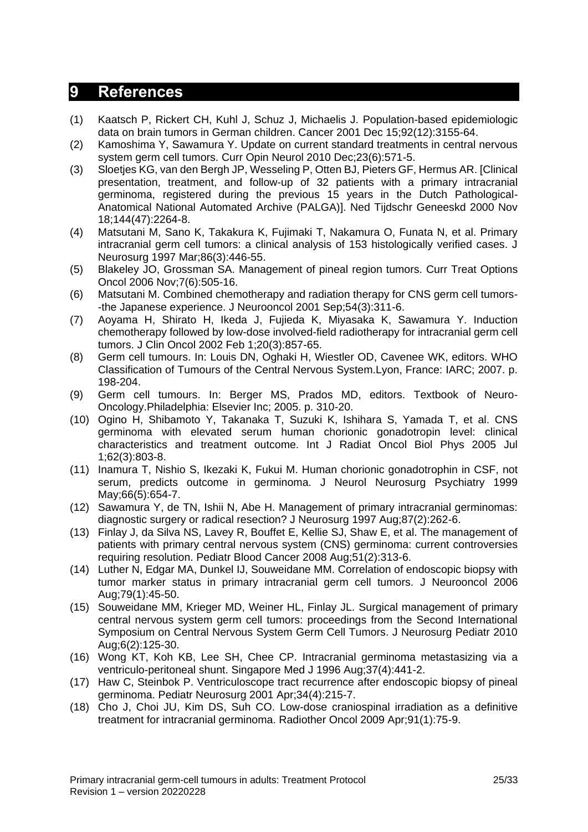## <span id="page-24-0"></span>**9 References**

- (1) Kaatsch P, Rickert CH, Kuhl J, Schuz J, Michaelis J. Population-based epidemiologic data on brain tumors in German children. Cancer 2001 Dec 15;92(12):3155-64.
- (2) Kamoshima Y, Sawamura Y. Update on current standard treatments in central nervous system germ cell tumors. Curr Opin Neurol 2010 Dec;23(6):571-5.
- (3) Sloetjes KG, van den Bergh JP, Wesseling P, Otten BJ, Pieters GF, Hermus AR. [Clinical presentation, treatment, and follow-up of 32 patients with a primary intracranial germinoma, registered during the previous 15 years in the Dutch Pathological-Anatomical National Automated Archive (PALGA)]. Ned Tijdschr Geneeskd 2000 Nov 18;144(47):2264-8.
- (4) Matsutani M, Sano K, Takakura K, Fujimaki T, Nakamura O, Funata N, et al. Primary intracranial germ cell tumors: a clinical analysis of 153 histologically verified cases. J Neurosurg 1997 Mar;86(3):446-55.
- (5) Blakeley JO, Grossman SA. Management of pineal region tumors. Curr Treat Options Oncol 2006 Nov;7(6):505-16.
- (6) Matsutani M. Combined chemotherapy and radiation therapy for CNS germ cell tumors- -the Japanese experience. J Neurooncol 2001 Sep;54(3):311-6.
- (7) Aoyama H, Shirato H, Ikeda J, Fujieda K, Miyasaka K, Sawamura Y. Induction chemotherapy followed by low-dose involved-field radiotherapy for intracranial germ cell tumors. J Clin Oncol 2002 Feb 1;20(3):857-65.
- (8) Germ cell tumours. In: Louis DN, Oghaki H, Wiestler OD, Cavenee WK, editors. WHO Classification of Tumours of the Central Nervous System.Lyon, France: IARC; 2007. p. 198-204.
- (9) Germ cell tumours. In: Berger MS, Prados MD, editors. Textbook of Neuro-Oncology.Philadelphia: Elsevier Inc; 2005. p. 310-20.
- (10) Ogino H, Shibamoto Y, Takanaka T, Suzuki K, Ishihara S, Yamada T, et al. CNS germinoma with elevated serum human chorionic gonadotropin level: clinical characteristics and treatment outcome. Int J Radiat Oncol Biol Phys 2005 Jul 1;62(3):803-8.
- (11) Inamura T, Nishio S, Ikezaki K, Fukui M. Human chorionic gonadotrophin in CSF, not serum, predicts outcome in germinoma. J Neurol Neurosurg Psychiatry 1999 May;66(5):654-7.
- (12) Sawamura Y, de TN, Ishii N, Abe H. Management of primary intracranial germinomas: diagnostic surgery or radical resection? J Neurosurg 1997 Aug;87(2):262-6.
- (13) Finlay J, da Silva NS, Lavey R, Bouffet E, Kellie SJ, Shaw E, et al. The management of patients with primary central nervous system (CNS) germinoma: current controversies requiring resolution. Pediatr Blood Cancer 2008 Aug;51(2):313-6.
- (14) Luther N, Edgar MA, Dunkel IJ, Souweidane MM. Correlation of endoscopic biopsy with tumor marker status in primary intracranial germ cell tumors. J Neurooncol 2006 Aug;79(1):45-50.
- (15) Souweidane MM, Krieger MD, Weiner HL, Finlay JL. Surgical management of primary central nervous system germ cell tumors: proceedings from the Second International Symposium on Central Nervous System Germ Cell Tumors. J Neurosurg Pediatr 2010 Aug;6(2):125-30.
- (16) Wong KT, Koh KB, Lee SH, Chee CP. Intracranial germinoma metastasizing via a ventriculo-peritoneal shunt. Singapore Med J 1996 Aug;37(4):441-2.
- (17) Haw C, Steinbok P. Ventriculoscope tract recurrence after endoscopic biopsy of pineal germinoma. Pediatr Neurosurg 2001 Apr;34(4):215-7.
- (18) Cho J, Choi JU, Kim DS, Suh CO. Low-dose craniospinal irradiation as a definitive treatment for intracranial germinoma. Radiother Oncol 2009 Apr;91(1):75-9.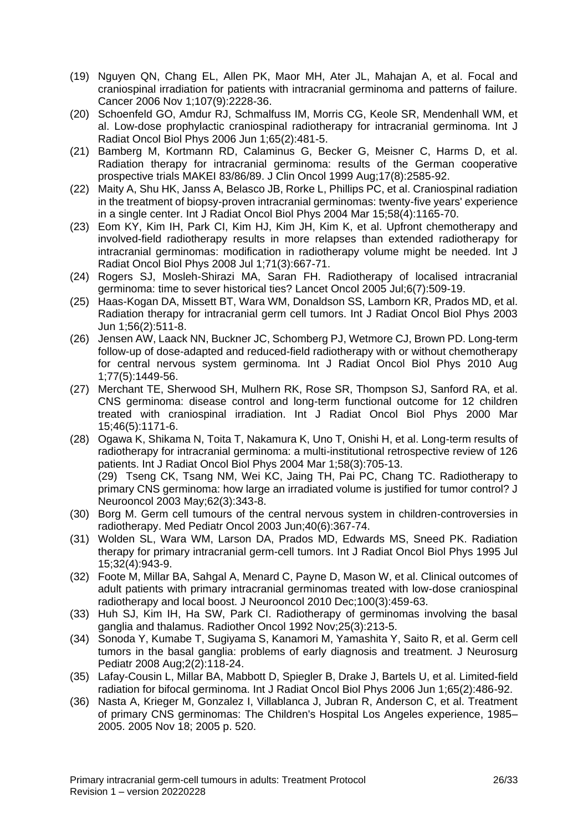- (19) Nguyen QN, Chang EL, Allen PK, Maor MH, Ater JL, Mahajan A, et al. Focal and craniospinal irradiation for patients with intracranial germinoma and patterns of failure. Cancer 2006 Nov 1;107(9):2228-36.
- (20) Schoenfeld GO, Amdur RJ, Schmalfuss IM, Morris CG, Keole SR, Mendenhall WM, et al. Low-dose prophylactic craniospinal radiotherapy for intracranial germinoma. Int J Radiat Oncol Biol Phys 2006 Jun 1;65(2):481-5.
- (21) Bamberg M, Kortmann RD, Calaminus G, Becker G, Meisner C, Harms D, et al. Radiation therapy for intracranial germinoma: results of the German cooperative prospective trials MAKEI 83/86/89. J Clin Oncol 1999 Aug;17(8):2585-92.
- (22) Maity A, Shu HK, Janss A, Belasco JB, Rorke L, Phillips PC, et al. Craniospinal radiation in the treatment of biopsy-proven intracranial germinomas: twenty-five years' experience in a single center. Int J Radiat Oncol Biol Phys 2004 Mar 15;58(4):1165-70.
- (23) Eom KY, Kim IH, Park CI, Kim HJ, Kim JH, Kim K, et al. Upfront chemotherapy and involved-field radiotherapy results in more relapses than extended radiotherapy for intracranial germinomas: modification in radiotherapy volume might be needed. Int J Radiat Oncol Biol Phys 2008 Jul 1;71(3):667-71.
- (24) Rogers SJ, Mosleh-Shirazi MA, Saran FH. Radiotherapy of localised intracranial germinoma: time to sever historical ties? Lancet Oncol 2005 Jul;6(7):509-19.
- (25) Haas-Kogan DA, Missett BT, Wara WM, Donaldson SS, Lamborn KR, Prados MD, et al. Radiation therapy for intracranial germ cell tumors. Int J Radiat Oncol Biol Phys 2003 Jun 1;56(2):511-8.
- (26) Jensen AW, Laack NN, Buckner JC, Schomberg PJ, Wetmore CJ, Brown PD. Long-term follow-up of dose-adapted and reduced-field radiotherapy with or without chemotherapy for central nervous system germinoma. Int J Radiat Oncol Biol Phys 2010 Aug 1;77(5):1449-56.
- (27) Merchant TE, Sherwood SH, Mulhern RK, Rose SR, Thompson SJ, Sanford RA, et al. CNS germinoma: disease control and long-term functional outcome for 12 children treated with craniospinal irradiation. Int J Radiat Oncol Biol Phys 2000 Mar 15;46(5):1171-6.
- (28) Ogawa K, Shikama N, Toita T, Nakamura K, Uno T, Onishi H, et al. Long-term results of radiotherapy for intracranial germinoma: a multi-institutional retrospective review of 126 patients. Int J Radiat Oncol Biol Phys 2004 Mar 1;58(3):705-13. (29) Tseng CK, Tsang NM, Wei KC, Jaing TH, Pai PC, Chang TC. Radiotherapy to primary CNS germinoma: how large an irradiated volume is justified for tumor control? J Neurooncol 2003 May;62(3):343-8.
- (30) Borg M. Germ cell tumours of the central nervous system in children-controversies in radiotherapy. Med Pediatr Oncol 2003 Jun;40(6):367-74.
- (31) Wolden SL, Wara WM, Larson DA, Prados MD, Edwards MS, Sneed PK. Radiation therapy for primary intracranial germ-cell tumors. Int J Radiat Oncol Biol Phys 1995 Jul 15;32(4):943-9.
- (32) Foote M, Millar BA, Sahgal A, Menard C, Payne D, Mason W, et al. Clinical outcomes of adult patients with primary intracranial germinomas treated with low-dose craniospinal radiotherapy and local boost. J Neurooncol 2010 Dec;100(3):459-63.
- (33) Huh SJ, Kim IH, Ha SW, Park CI. Radiotherapy of germinomas involving the basal ganglia and thalamus. Radiother Oncol 1992 Nov;25(3):213-5.
- (34) Sonoda Y, Kumabe T, Sugiyama S, Kanamori M, Yamashita Y, Saito R, et al. Germ cell tumors in the basal ganglia: problems of early diagnosis and treatment. J Neurosurg Pediatr 2008 Aug;2(2):118-24.
- (35) Lafay-Cousin L, Millar BA, Mabbott D, Spiegler B, Drake J, Bartels U, et al. Limited-field radiation for bifocal germinoma. Int J Radiat Oncol Biol Phys 2006 Jun 1;65(2):486-92.
- (36) Nasta A, Krieger M, Gonzalez I, Villablanca J, Jubran R, Anderson C, et al. Treatment of primary CNS germinomas: The Children's Hospital Los Angeles experience, 1985– 2005. 2005 Nov 18; 2005 p. 520.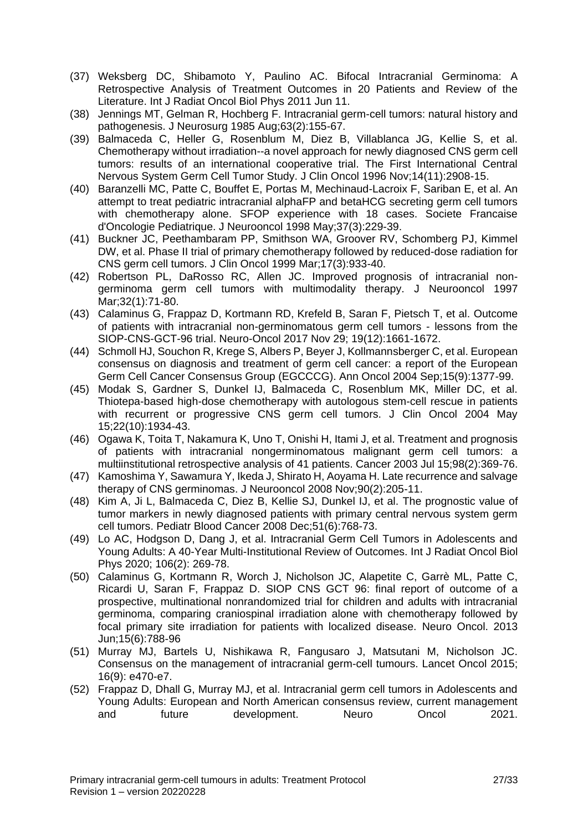- (37) Weksberg DC, Shibamoto Y, Paulino AC. Bifocal Intracranial Germinoma: A Retrospective Analysis of Treatment Outcomes in 20 Patients and Review of the Literature. Int J Radiat Oncol Biol Phys 2011 Jun 11.
- (38) Jennings MT, Gelman R, Hochberg F. Intracranial germ-cell tumors: natural history and pathogenesis. J Neurosurg 1985 Aug;63(2):155-67.
- (39) Balmaceda C, Heller G, Rosenblum M, Diez B, Villablanca JG, Kellie S, et al. Chemotherapy without irradiation--a novel approach for newly diagnosed CNS germ cell tumors: results of an international cooperative trial. The First International Central Nervous System Germ Cell Tumor Study. J Clin Oncol 1996 Nov;14(11):2908-15.
- (40) Baranzelli MC, Patte C, Bouffet E, Portas M, Mechinaud-Lacroix F, Sariban E, et al. An attempt to treat pediatric intracranial alphaFP and betaHCG secreting germ cell tumors with chemotherapy alone. SFOP experience with 18 cases. Societe Francaise d'Oncologie Pediatrique. J Neurooncol 1998 May;37(3):229-39.
- (41) Buckner JC, Peethambaram PP, Smithson WA, Groover RV, Schomberg PJ, Kimmel DW, et al. Phase II trial of primary chemotherapy followed by reduced-dose radiation for CNS germ cell tumors. J Clin Oncol 1999 Mar;17(3):933-40.
- (42) Robertson PL, DaRosso RC, Allen JC. Improved prognosis of intracranial nongerminoma germ cell tumors with multimodality therapy. J Neurooncol 1997 Mar;32(1):71-80.
- (43) Calaminus G, Frappaz D, Kortmann RD, Krefeld B, Saran F, Pietsch T, et al. Outcome of patients with intracranial non-germinomatous germ cell tumors - lessons from the SIOP-CNS-GCT-96 trial. Neuro-Oncol 2017 Nov 29; 19(12):1661-1672.
- (44) Schmoll HJ, Souchon R, Krege S, Albers P, Beyer J, Kollmannsberger C, et al. European consensus on diagnosis and treatment of germ cell cancer: a report of the European Germ Cell Cancer Consensus Group (EGCCCG). Ann Oncol 2004 Sep;15(9):1377-99.
- (45) Modak S, Gardner S, Dunkel IJ, Balmaceda C, Rosenblum MK, Miller DC, et al. Thiotepa-based high-dose chemotherapy with autologous stem-cell rescue in patients with recurrent or progressive CNS germ cell tumors. J Clin Oncol 2004 May 15;22(10):1934-43.
- (46) Ogawa K, Toita T, Nakamura K, Uno T, Onishi H, Itami J, et al. Treatment and prognosis of patients with intracranial nongerminomatous malignant germ cell tumors: a multiinstitutional retrospective analysis of 41 patients. Cancer 2003 Jul 15;98(2):369-76.
- (47) Kamoshima Y, Sawamura Y, Ikeda J, Shirato H, Aoyama H. Late recurrence and salvage therapy of CNS germinomas. J Neurooncol 2008 Nov;90(2):205-11.
- (48) Kim A, Ji L, Balmaceda C, Diez B, Kellie SJ, Dunkel IJ, et al. The prognostic value of tumor markers in newly diagnosed patients with primary central nervous system germ cell tumors. Pediatr Blood Cancer 2008 Dec;51(6):768-73.
- (49) Lo AC, Hodgson D, Dang J, et al. Intracranial Germ Cell Tumors in Adolescents and Young Adults: A 40-Year Multi-Institutional Review of Outcomes. Int J Radiat Oncol Biol Phys 2020; 106(2): 269-78.
- (50) Calaminus G, Kortmann R, Worch J, Nicholson JC, Alapetite C, Garrè ML, Patte C, Ricardi U, Saran F, Frappaz D. SIOP CNS GCT 96: final report of outcome of a prospective, multinational nonrandomized trial for children and adults with intracranial germinoma, comparing craniospinal irradiation alone with chemotherapy followed by focal primary site irradiation for patients with localized disease. Neuro Oncol. 2013 Jun;15(6):788-96
- (51) Murray MJ, Bartels U, Nishikawa R, Fangusaro J, Matsutani M, Nicholson JC. Consensus on the management of intracranial germ-cell tumours. Lancet Oncol 2015; 16(9): e470-e7.
- (52) Frappaz D, Dhall G, Murray MJ, et al. Intracranial germ cell tumors in Adolescents and Young Adults: European and North American consensus review, current management and future development. Neuro Oncol 2021.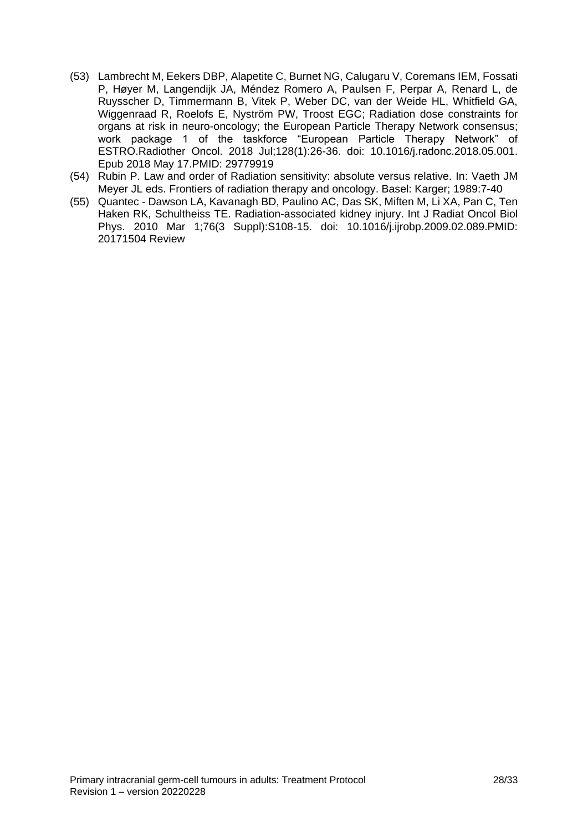- (53) Lambrecht M, Eekers DBP, Alapetite C, Burnet NG, Calugaru V, Coremans IEM, Fossati P, Høyer M, Langendijk JA, Méndez Romero A, Paulsen F, Perpar A, Renard L, de Ruysscher D, Timmermann B, Vitek P, Weber DC, van der Weide HL, Whitfield GA, Wiggenraad R, Roelofs E, Nyström PW, Troost EGC; Radiation dose constraints for organs at risk in neuro-oncology; the European Particle Therapy Network consensus; work package 1 of the taskforce "European Particle Therapy Network" of ESTRO.Radiother Oncol. 2018 Jul;128(1):26-36. doi: 10.1016/j.radonc.2018.05.001. Epub 2018 May 17.PMID: 29779919
- (54) Rubin P. Law and order of Radiation sensitivity: absolute versus relative. In: Vaeth JM Meyer JL eds. Frontiers of radiation therapy and oncology. Basel: Karger; 1989:7-40
- (55) Quantec Dawson LA, Kavanagh BD, Paulino AC, Das SK, Miften M, Li XA, Pan C, Ten Haken RK, Schultheiss TE. Radiation-associated kidney injury. Int J Radiat Oncol Biol Phys. 2010 Mar 1;76(3 Suppl):S108-15. doi: 10.1016/j.ijrobp.2009.02.089.PMID: 20171504 Review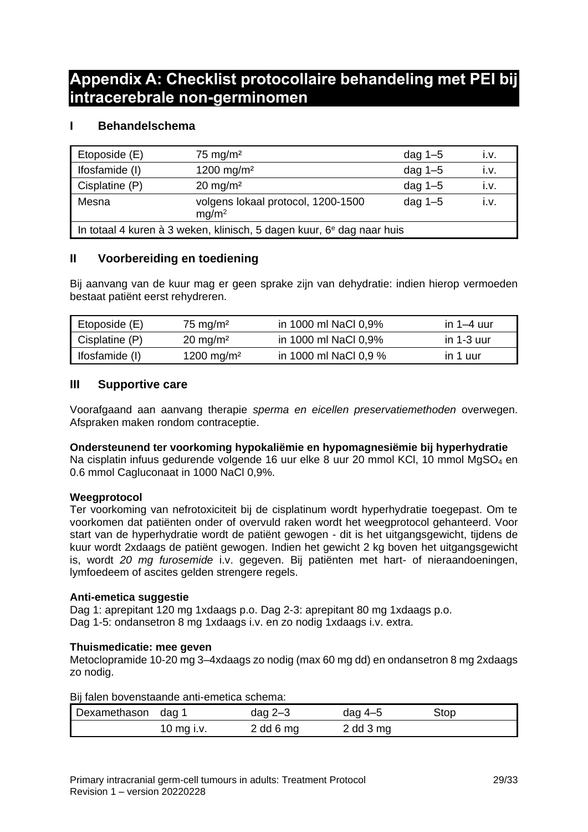## <span id="page-28-0"></span>**Appendix A: Checklist protocollaire behandeling met PEI bij intracerebrale non-germinomen**

## **I Behandelschema**

| Etoposide (E)                                                                     | $75 \text{ mg/m}^2$                                     | dag $1-5$ | ۱.V. |
|-----------------------------------------------------------------------------------|---------------------------------------------------------|-----------|------|
| Ifosfamide (I)                                                                    | 1200 mg/m <sup>2</sup>                                  | dag $1-5$ | İ.V. |
| Cisplatine (P)                                                                    | $20 \text{ mg/m}^2$                                     | dag $1-5$ | I.V. |
| Mesna                                                                             | volgens lokaal protocol, 1200-1500<br>mg/m <sup>2</sup> | dag $1-5$ | i.v  |
| In totaal 4 kuren à 3 weken, klinisch, 5 dagen kuur, 6 <sup>e</sup> dag naar huis |                                                         |           |      |

## **II Voorbereiding en toediening**

Bij aanvang van de kuur mag er geen sprake zijn van dehydratie: indien hierop vermoeden bestaat patiënt eerst rehydreren.

| Etoposide (E)  | $75 \text{ mg/m}^2$    | in 1000 ml NaCl 0,9%  | in $1-4$ uur |
|----------------|------------------------|-----------------------|--------------|
| Cisplatine (P) | $20 \text{ mg/m}^2$    | in 1000 ml NaCl 0,9%  | in $1-3$ uur |
| Ifosfamide (I) | 1200 mg/m <sup>2</sup> | in 1000 ml NaCl 0,9 % | in 1 uur     |

## **III Supportive care**

Voorafgaand aan aanvang therapie *sperma en eicellen preservatiemethoden* overwegen. Afspraken maken rondom contraceptie.

## **Ondersteunend ter voorkoming hypokaliëmie en hypomagnesiëmie bij hyperhydratie**

Na cisplatin infuus gedurende volgende 16 uur elke 8 uur 20 mmol KCl, 10 mmol MgSO<sub>4</sub> en 0.6 mmol Cagluconaat in 1000 NaCl 0,9%.

## **Weegprotocol**

Ter voorkoming van nefrotoxiciteit bij de cisplatinum wordt hyperhydratie toegepast. Om te voorkomen dat patiënten onder of overvuld raken wordt het weegprotocol gehanteerd. Voor start van de hyperhydratie wordt de patiënt gewogen - dit is het uitgangsgewicht, tijdens de kuur wordt 2xdaags de patiënt gewogen. Indien het gewicht 2 kg boven het uitgangsgewicht is, wordt *20 mg furosemide* i.v. gegeven. Bij patiënten met hart- of nieraandoeningen, lymfoedeem of ascites gelden strengere regels.

## **Anti-emetica suggestie**

Dag 1: aprepitant 120 mg 1xdaags p.o. Dag 2-3: aprepitant 80 mg 1xdaags p.o. Dag 1-5: ondansetron 8 mg 1xdaags i.v. en zo nodig 1xdaags i.v. extra.

## **Thuismedicatie: mee geven**

Metoclopramide 10-20 mg 3–4xdaags zo nodig (max 60 mg dd) en ondansetron 8 mg 2xdaags zo nodig.

Bij falen bovenstaande anti-emetica schema:

| Dexamethason dag 1 |            | dag $2-3$   | dag 4–5       | Stop |
|--------------------|------------|-------------|---------------|------|
|                    | 10 mg i.v. | $2$ dd 6 mg | $2$ dd $3$ mg |      |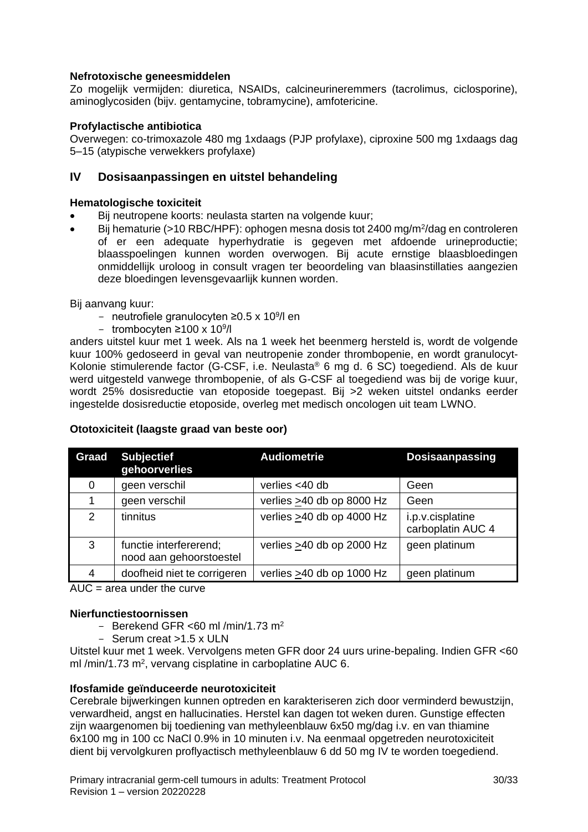## **Nefrotoxische geneesmiddelen**

Zo mogelijk vermijden: diuretica, NSAIDs, calcineurineremmers (tacrolimus, ciclosporine), aminoglycosiden (bijv. gentamycine, tobramycine), amfotericine.

## **Profylactische antibiotica**

Overwegen: co-trimoxazole 480 mg 1xdaags (PJP profylaxe), ciproxine 500 mg 1xdaags dag 5–15 (atypische verwekkers profylaxe)

## **IV Dosisaanpassingen en uitstel behandeling**

## **Hematologische toxiciteit**

- Bij neutropene koorts: neulasta starten na volgende kuur:
- Bij hematurie (>10 RBC/HPF): ophogen mesna dosis tot 2400 mg/m<sup>2</sup>/dag en controleren of er een adequate hyperhydratie is gegeven met afdoende urineproductie; blaasspoelingen kunnen worden overwogen. Bij acute ernstige blaasbloedingen onmiddellijk uroloog in consult vragen ter beoordeling van blaasinstillaties aangezien deze bloedingen levensgevaarlijk kunnen worden.

Bij aanvang kuur:

- neutrofiele granulocyten ≥0.5 x 10<sup>9</sup>/l en
- trombocyten ≥100 x 10<sup>9</sup>/l

anders uitstel kuur met 1 week. Als na 1 week het beenmerg hersteld is, wordt de volgende kuur 100% gedoseerd in geval van neutropenie zonder thrombopenie, en wordt granulocyt-Kolonie stimulerende factor (G-CSF, i.e. Neulasta® 6 mg d. 6 SC) toegediend. Als de kuur werd uitgesteld vanwege thrombopenie, of als G-CSF al toegediend was bij de vorige kuur, wordt 25% dosisreductie van etoposide toegepast. Bij >2 weken uitstel ondanks eerder ingestelde dosisreductie etoposide, overleg met medisch oncologen uit team LWNO.

| Graad         | <b>Subjectief</b><br>gehoorverlies                | <b>Audiometrie</b>              | Dosisaanpassing                       |
|---------------|---------------------------------------------------|---------------------------------|---------------------------------------|
| 0             | geen verschil                                     | verlies $<$ 40 db               | Geen                                  |
|               | geen verschil                                     | verlies $\geq$ 40 db op 8000 Hz | Geen                                  |
| $\mathcal{P}$ | tinnitus                                          | verlies >40 db op 4000 Hz       | i.p.v.cisplatine<br>carboplatin AUC 4 |
| 3             | functie interfererend;<br>nood aan gehoorstoestel | verlies $\geq$ 40 db op 2000 Hz | geen platinum                         |
| 4             | doofheid niet te corrigeren                       | verlies $\geq 40$ db op 1000 Hz | geen platinum                         |

## **Ototoxiciteit (laagste graad van beste oor)**

 $AUC = area$  under the curve

## **Nierfunctiestoornissen**

- Berekend GFR <60 ml /min/1.73 m<sup>2</sup>
- Serum creat >1.5 x ULN

Uitstel kuur met 1 week. Vervolgens meten GFR door 24 uurs urine-bepaling. Indien GFR <60 ml /min/1.73 m<sup>2</sup>, vervang cisplatine in carboplatine AUC 6.

## **Ifosfamide geïnduceerde neurotoxiciteit**

Cerebrale bijwerkingen kunnen optreden en karakteriseren zich door verminderd bewustzijn, verwardheid, angst en hallucinaties. Herstel kan dagen tot weken duren. Gunstige effecten zijn waargenomen bij toediening van methyleenblauw 6x50 mg/dag i.v. en van thiamine 6x100 mg in 100 cc NaCl 0.9% in 10 minuten i.v. Na eenmaal opgetreden neurotoxiciteit dient bij vervolgkuren proflyactisch methyleenblauw 6 dd 50 mg IV te worden toegediend.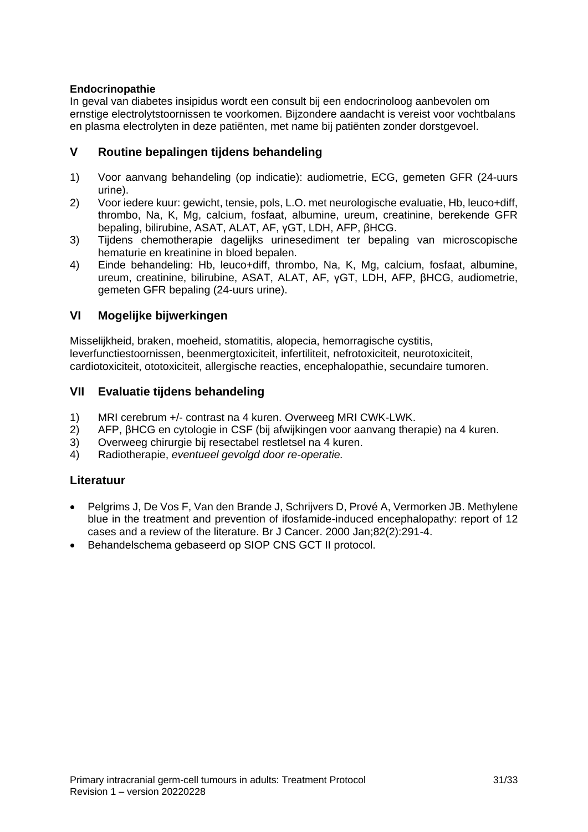## **Endocrinopathie**

In geval van diabetes insipidus wordt een consult bij een endocrinoloog aanbevolen om ernstige electrolytstoornissen te voorkomen. Bijzondere aandacht is vereist voor vochtbalans en plasma electrolyten in deze patiënten, met name bij patiënten zonder dorstgevoel.

## **V Routine bepalingen tijdens behandeling**

- 1) Voor aanvang behandeling (op indicatie): audiometrie, ECG, gemeten GFR (24-uurs urine).
- 2) Voor iedere kuur: gewicht, tensie, pols, L.O. met neurologische evaluatie, Hb, leuco+diff, thrombo, Na, K, Mg, calcium, fosfaat, albumine, ureum, creatinine, berekende GFR bepaling, bilirubine, ASAT, ALAT, AF, γGT, LDH, AFP, βHCG.
- 3) Tijdens chemotherapie dagelijks urinesediment ter bepaling van microscopische hematurie en kreatinine in bloed bepalen.
- 4) Einde behandeling: Hb, leuco+diff, thrombo, Na, K, Mg, calcium, fosfaat, albumine, ureum, creatinine, bilirubine, ASAT, ALAT, AF, γGT, LDH, AFP, βHCG, audiometrie, gemeten GFR bepaling (24-uurs urine).

## **VI Mogelijke bijwerkingen**

Misselijkheid, braken, moeheid, stomatitis, alopecia, hemorragische cystitis, leverfunctiestoornissen, beenmergtoxiciteit, infertiliteit, nefrotoxiciteit, neurotoxiciteit, cardiotoxiciteit, ototoxiciteit, allergische reacties, encephalopathie, secundaire tumoren.

## **VII Evaluatie tijdens behandeling**

- 1) MRI cerebrum +/- contrast na 4 kuren. Overweeg MRI CWK-LWK.
- 2) AFP, βHCG en cytologie in CSF (bij afwijkingen voor aanvang therapie) na 4 kuren.
- 3) Overweeg chirurgie bij resectabel restletsel na 4 kuren.
- 4) Radiotherapie, *eventueel gevolgd door re-operatie.*

## **Literatuur**

- Pelgrims J, De Vos F, Van den Brande J, Schrijvers D, Prové A, Vermorken JB. Methylene blue in the treatment and prevention of ifosfamide-induced encephalopathy: report of 12 cases and a review of the literature. Br J Cancer. 2000 Jan;82(2):291-4.
- Behandelschema gebaseerd op SIOP CNS GCT II protocol.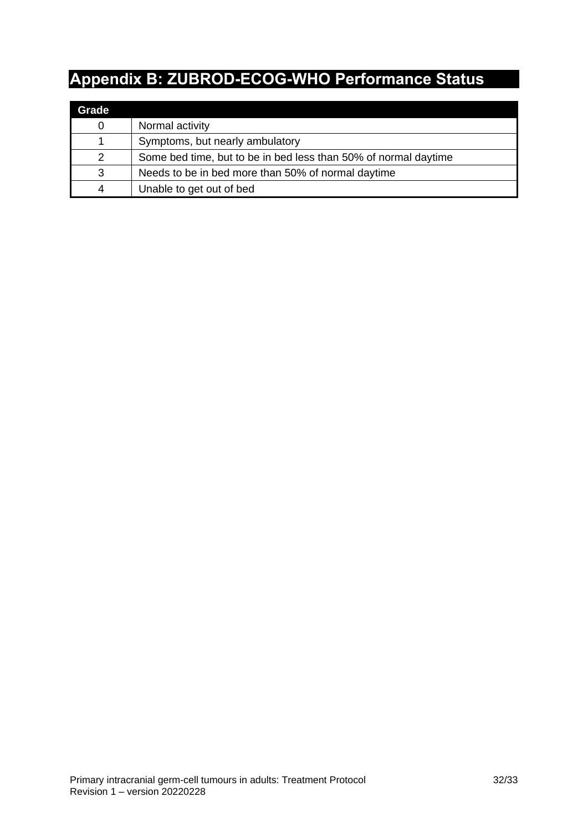# <span id="page-31-0"></span>**Appendix B: ZUBROD-ECOG-WHO Performance Status**

| Grade |                                                                 |
|-------|-----------------------------------------------------------------|
| 0     | Normal activity                                                 |
|       | Symptoms, but nearly ambulatory                                 |
| 2     | Some bed time, but to be in bed less than 50% of normal daytime |
| 3     | Needs to be in bed more than 50% of normal daytime              |
|       | Unable to get out of bed                                        |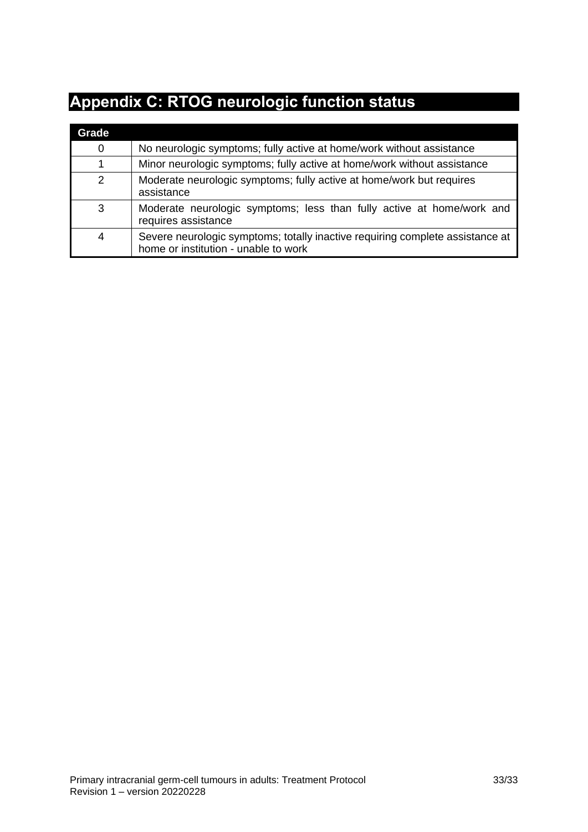# <span id="page-32-0"></span>**Appendix C: RTOG neurologic function status**

| Grade       |                                                                                                                       |
|-------------|-----------------------------------------------------------------------------------------------------------------------|
| $\mathbf 0$ | No neurologic symptoms; fully active at home/work without assistance                                                  |
|             | Minor neurologic symptoms; fully active at home/work without assistance                                               |
| 2           | Moderate neurologic symptoms; fully active at home/work but requires<br>assistance                                    |
| 3           | Moderate neurologic symptoms; less than fully active at home/work and<br>requires assistance                          |
| 4           | Severe neurologic symptoms; totally inactive requiring complete assistance at<br>home or institution - unable to work |